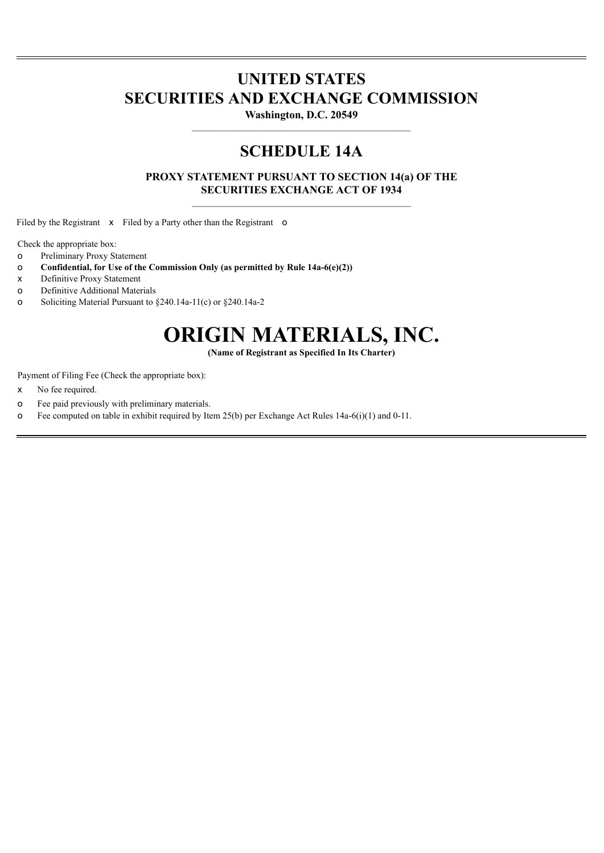# **UNITED STATES SECURITIES AND EXCHANGE COMMISSION**

**Washington, D.C. 20549**

# **SCHEDULE 14A**

**PROXY STATEMENT PURSUANT TO SECTION 14(a) OF THE SECURITIES EXCHANGE ACT OF 1934**

Filed by the Registrant x Filed by a Party other than the Registrant o

Check the appropriate box:

- o Preliminary Proxy Statement
- o **Confidential, for Use of the Commission Only (as permitted by Rule 14a-6(e)(2))**
- x Definitive Proxy Statement
- o Definitive Additional Materials
- o Soliciting Material Pursuant to §240.14a-11(c) or §240.14a-2

# **ORIGIN MATERIALS, INC.**

**(Name of Registrant as Specified In Its Charter)**

Payment of Filing Fee (Check the appropriate box):

- x No fee required.
- o Fee paid previously with preliminary materials.
- o Fee computed on table in exhibit required by Item 25(b) per Exchange Act Rules 14a-6(i)(1) and 0-11.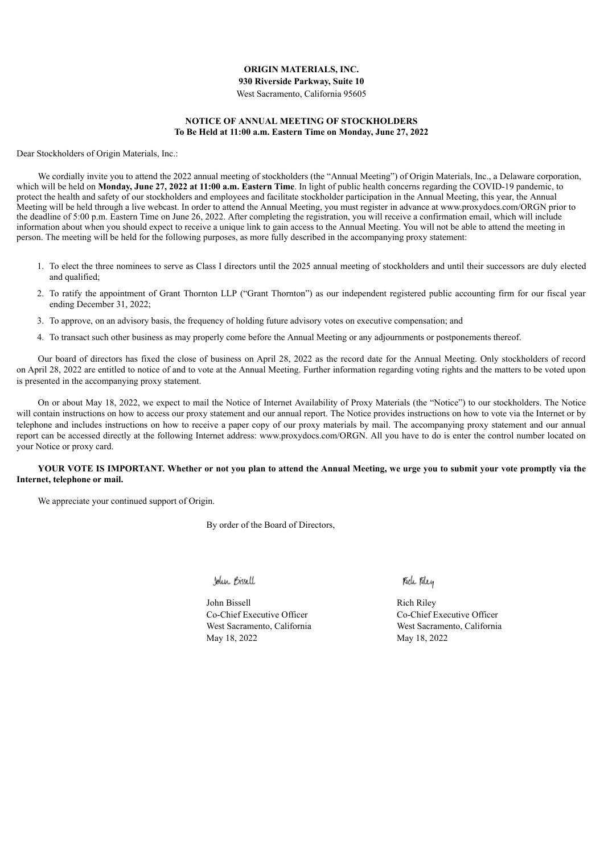# **ORIGIN MATERIALS, INC.**

**930 Riverside Parkway, Suite 10**

West Sacramento, California 95605

# **NOTICE OF ANNUAL MEETING OF STOCKHOLDERS To Be Held at 11:00 a.m. Eastern Time on Monday, June 27, 2022**

Dear Stockholders of Origin Materials, Inc.:

We cordially invite you to attend the 2022 annual meeting of stockholders (the "Annual Meeting") of Origin Materials, Inc., a Delaware corporation, which will be held on **Monday, June 27, 2022 at 11:00 a.m. Eastern Time**. In light of public health concerns regarding the COVID-19 pandemic, to protect the health and safety of our stockholders and employees and facilitate stockholder participation in the Annual Meeting, this year, the Annual Meeting will be held through a live webcast. In order to attend the Annual Meeting, you must register in advance at www.proxydocs.com/ORGN prior to the deadline of 5:00 p.m. Eastern Time on June 26, 2022. After completing the registration, you will receive a confirmation email, which will include information about when you should expect to receive a unique link to gain access to the Annual Meeting. You will not be able to attend the meeting in person. The meeting will be held for the following purposes, as more fully described in the accompanying proxy statement:

- 1. To elect the three nominees to serve as Class I directors until the 2025 annual meeting of stockholders and until their successors are duly elected and qualified;
- 2. To ratify the appointment of Grant Thornton LLP ("Grant Thornton") as our independent registered public accounting firm for our fiscal year ending December 31, 2022;
- 3. To approve, on an advisory basis, the frequency of holding future advisory votes on executive compensation; and
- 4. To transact such other business as may properly come before the Annual Meeting or any adjournments or postponements thereof.

Our board of directors has fixed the close of business on April 28, 2022 as the record date for the Annual Meeting. Only stockholders of record on April 28, 2022 are entitled to notice of and to vote at the Annual Meeting. Further information regarding voting rights and the matters to be voted upon is presented in the accompanying proxy statement.

On or about May 18, 2022, we expect to mail the Notice of Internet Availability of Proxy Materials (the "Notice") to our stockholders. The Notice will contain instructions on how to access our proxy statement and our annual report. The Notice provides instructions on how to vote via the Internet or by telephone and includes instructions on how to receive a paper copy of our proxy materials by mail. The accompanying proxy statement and our annual report can be accessed directly at the following Internet address: www.proxydocs.com/ORGN. All you have to do is enter the control number located on your Notice or proxy card.

# YOUR VOTE IS IMPORTANT. Whether or not you plan to attend the Annual Meeting, we urge you to submit your vote promptly via the **Internet, telephone or mail.**

We appreciate your continued support of Origin.

By order of the Board of Directors,

John Bissell

John Bissell Rich Riley Co-Chief Executive Officer Co-Chief Executive Officer May 18, 2022 May 18, 2022

Kide Kley

West Sacramento, California West Sacramento, California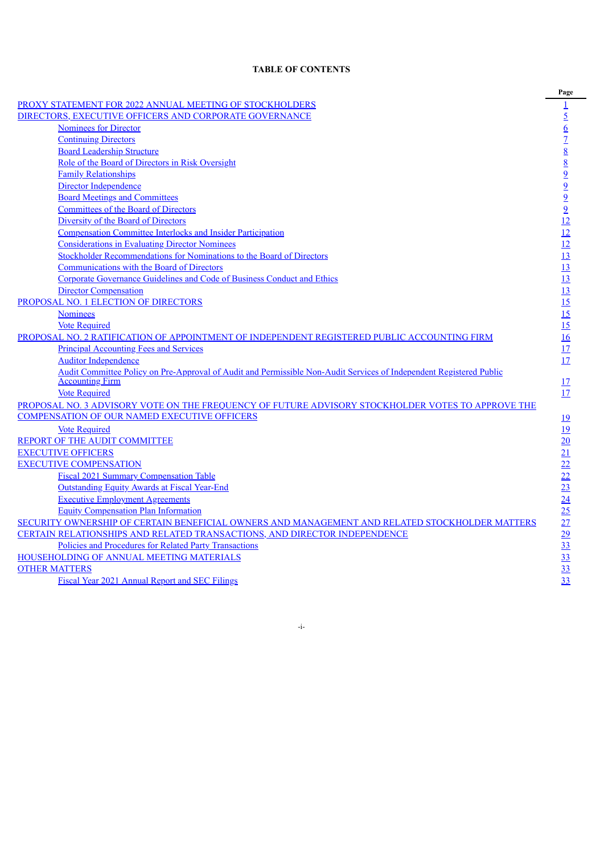# **TABLE OF CONTENTS**

**Page**

|                                                                                                                     | $\overline{a}$                                                                                                                                                                                                                                                  |
|---------------------------------------------------------------------------------------------------------------------|-----------------------------------------------------------------------------------------------------------------------------------------------------------------------------------------------------------------------------------------------------------------|
| PROXY STATEMENT FOR 2022 ANNUAL MEETING OF STOCKHOLDERS                                                             |                                                                                                                                                                                                                                                                 |
| DIRECTORS, EXECUTIVE OFFICERS AND CORPORATE GOVERNANCE                                                              |                                                                                                                                                                                                                                                                 |
| <b>Nominees for Director</b>                                                                                        |                                                                                                                                                                                                                                                                 |
| <b>Continuing Directors</b>                                                                                         |                                                                                                                                                                                                                                                                 |
| <b>Board Leadership Structure</b>                                                                                   |                                                                                                                                                                                                                                                                 |
| Role of the Board of Directors in Risk Oversight                                                                    |                                                                                                                                                                                                                                                                 |
| <b>Family Relationships</b>                                                                                         |                                                                                                                                                                                                                                                                 |
| Director Independence                                                                                               |                                                                                                                                                                                                                                                                 |
| <b>Board Meetings and Committees</b>                                                                                |                                                                                                                                                                                                                                                                 |
| <b>Committees of the Board of Directors</b>                                                                         |                                                                                                                                                                                                                                                                 |
| Diversity of the Board of Directors                                                                                 |                                                                                                                                                                                                                                                                 |
| <b>Compensation Committee Interlocks and Insider Participation</b>                                                  |                                                                                                                                                                                                                                                                 |
| <b>Considerations in Evaluating Director Nominees</b>                                                               |                                                                                                                                                                                                                                                                 |
| Stockholder Recommendations for Nominations to the Board of Directors                                               |                                                                                                                                                                                                                                                                 |
| <b>Communications with the Board of Directors</b>                                                                   |                                                                                                                                                                                                                                                                 |
| Corporate Governance Guidelines and Code of Business Conduct and Ethics                                             |                                                                                                                                                                                                                                                                 |
| <b>Director Compensation</b>                                                                                        |                                                                                                                                                                                                                                                                 |
| PROPOSAL NO. 1 ELECTION OF DIRECTORS                                                                                |                                                                                                                                                                                                                                                                 |
| <b>Nominees</b>                                                                                                     |                                                                                                                                                                                                                                                                 |
| <b>Vote Required</b>                                                                                                |                                                                                                                                                                                                                                                                 |
| PROPOSAL NO. 2 RATIFICATION OF APPOINTMENT OF INDEPENDENT REGISTERED PUBLIC ACCOUNTING FIRM                         |                                                                                                                                                                                                                                                                 |
| <b>Principal Accounting Fees and Services</b>                                                                       | $\frac{1}{2}$ $\frac{5}{2}$ $\frac{6}{2}$ $\frac{7}{8}$ $\frac{8}{8}$ $\frac{8}{9}$ $\frac{9}{2}$ $\frac{9}{2}$ $\frac{12}{12}$ $\frac{12}{12}$ $\frac{13}{13}$ $\frac{13}{13}$ $\frac{13}{13}$ $\frac{15}{15}$ $\frac{15}{15}$ $\frac{16}{17}$ $\frac{17}{17}$ |
| <b>Auditor Independence</b>                                                                                         |                                                                                                                                                                                                                                                                 |
| Audit Committee Policy on Pre-Approval of Audit and Permissible Non-Audit Services of Independent Registered Public |                                                                                                                                                                                                                                                                 |
| <b>Accounting Firm</b>                                                                                              | 17                                                                                                                                                                                                                                                              |
| <b>Vote Required</b>                                                                                                | 17                                                                                                                                                                                                                                                              |
| PROPOSAL NO. 3 ADVISORY VOTE ON THE FREQUENCY OF FUTURE ADVISORY STOCKHOLDER VOTES TO APPROVE THE                   |                                                                                                                                                                                                                                                                 |
| <b>COMPENSATION OF OUR NAMED EXECUTIVE OFFICERS</b>                                                                 | <u>19</u>                                                                                                                                                                                                                                                       |
| <b>Vote Required</b>                                                                                                |                                                                                                                                                                                                                                                                 |
| <b>REPORT OF THE AUDIT COMMITTEE</b>                                                                                |                                                                                                                                                                                                                                                                 |
| <b>EXECUTIVE OFFICERS</b>                                                                                           |                                                                                                                                                                                                                                                                 |
| <b>EXECUTIVE COMPENSATION</b>                                                                                       |                                                                                                                                                                                                                                                                 |
| <b>Fiscal 2021 Summary Compensation Table</b>                                                                       |                                                                                                                                                                                                                                                                 |
| <b>Outstanding Equity Awards at Fiscal Year-End</b>                                                                 |                                                                                                                                                                                                                                                                 |
| <b>Executive Employment Agreements</b>                                                                              |                                                                                                                                                                                                                                                                 |
| <b>Equity Compensation Plan Information</b>                                                                         |                                                                                                                                                                                                                                                                 |
| SECURITY OWNERSHIP OF CERTAIN BENEFICIAL OWNERS AND MANAGEMENT AND RELATED STOCKHOLDER MATTERS                      |                                                                                                                                                                                                                                                                 |
| <b>CERTAIN RELATIONSHIPS AND RELATED TRANSACTIONS, AND DIRECTOR INDEPENDENCE</b>                                    |                                                                                                                                                                                                                                                                 |
| Policies and Procedures for Related Party Transactions                                                              | $\frac{19}{20}$ $\frac{20}{21}$ $\frac{22}{22}$ $\frac{23}{24}$ $\frac{24}{25}$ $\frac{27}{27}$ $\frac{29}{23}$ $\frac{33}{33}$ $\frac{33}{33}$                                                                                                                 |
| HOUSEHOLDING OF ANNUAL MEETING MATERIALS                                                                            |                                                                                                                                                                                                                                                                 |
| <b>OTHER MATTERS</b>                                                                                                |                                                                                                                                                                                                                                                                 |
| Fiscal Year 2021 Annual Report and SEC Filings                                                                      |                                                                                                                                                                                                                                                                 |

<span id="page-2-0"></span>-i-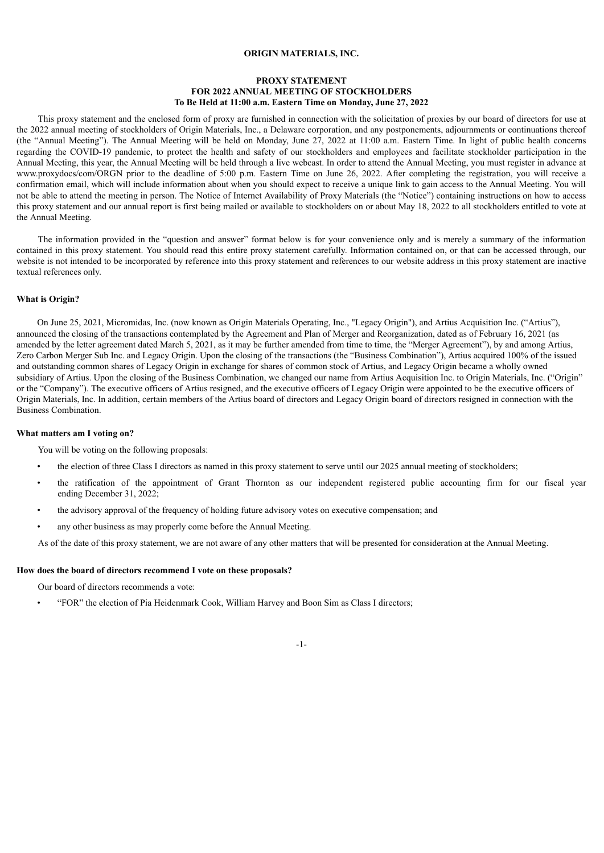#### **ORIGIN MATERIALS, INC.**

# **PROXY STATEMENT FOR 2022 ANNUAL MEETING OF STOCKHOLDERS To Be Held at 11:00 a.m. Eastern Time on Monday, June 27, 2022**

This proxy statement and the enclosed form of proxy are furnished in connection with the solicitation of proxies by our board of directors for use at the 2022 annual meeting of stockholders of Origin Materials, Inc., a Delaware corporation, and any postponements, adjournments or continuations thereof (the "Annual Meeting"). The Annual Meeting will be held on Monday, June 27, 2022 at 11:00 a.m. Eastern Time. In light of public health concerns regarding the COVID-19 pandemic, to protect the health and safety of our stockholders and employees and facilitate stockholder participation in the Annual Meeting, this year, the Annual Meeting will be held through a live webcast. In order to attend the Annual Meeting, you must register in advance at www.proxydocs/com/ORGN prior to the deadline of 5:00 p.m. Eastern Time on June 26, 2022. After completing the registration, you will receive a confirmation email, which will include information about when you should expect to receive a unique link to gain access to the Annual Meeting. You will not be able to attend the meeting in person. The Notice of Internet Availability of Proxy Materials (the "Notice") containing instructions on how to access this proxy statement and our annual report is first being mailed or available to stockholders on or about May 18, 2022 to all stockholders entitled to vote at the Annual Meeting.

The information provided in the "question and answer" format below is for your convenience only and is merely a summary of the information contained in this proxy statement. You should read this entire proxy statement carefully. Information contained on, or that can be accessed through, our website is not intended to be incorporated by reference into this proxy statement and references to our website address in this proxy statement are inactive textual references only.

#### **What is Origin?**

On June 25, 2021, Micromidas, Inc. (now known as Origin Materials Operating, Inc., "Legacy Origin"), and Artius Acquisition Inc. ("Artius"), announced the closing of the transactions contemplated by the Agreement and Plan of Merger and Reorganization, dated as of February 16, 2021 (as amended by the letter agreement dated March 5, 2021, as it may be further amended from time to time, the "Merger Agreement"), by and among Artius, Zero Carbon Merger Sub Inc. and Legacy Origin. Upon the closing of the transactions (the "Business Combination"), Artius acquired 100% of the issued and outstanding common shares of Legacy Origin in exchange for shares of common stock of Artius, and Legacy Origin became a wholly owned subsidiary of Artius. Upon the closing of the Business Combination, we changed our name from Artius Acquisition Inc. to Origin Materials, Inc. ("Origin" or the "Company"). The executive officers of Artius resigned, and the executive officers of Legacy Origin were appointed to be the executive officers of Origin Materials, Inc. In addition, certain members of the Artius board of directors and Legacy Origin board of directors resigned in connection with the Business Combination.

#### **What matters am I voting on?**

You will be voting on the following proposals:

- the election of three Class I directors as named in this proxy statement to serve until our 2025 annual meeting of stockholders;
- the ratification of the appointment of Grant Thornton as our independent registered public accounting firm for our fiscal year ending December 31, 2022;
- the advisory approval of the frequency of holding future advisory votes on executive compensation; and
- any other business as may properly come before the Annual Meeting.

As of the date of this proxy statement, we are not aware of any other matters that will be presented for consideration at the Annual Meeting.

#### **How does the board of directors recommend I vote on these proposals?**

Our board of directors recommends a vote:

• "FOR" the election of Pia Heidenmark Cook, William Harvey and Boon Sim as Class I directors;

<sup>-1-</sup>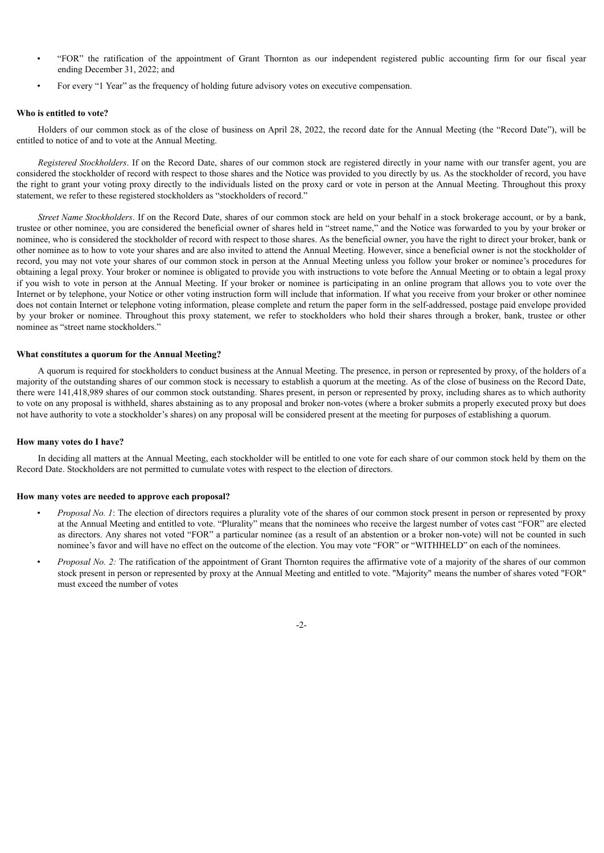- "FOR" the ratification of the appointment of Grant Thornton as our independent registered public accounting firm for our fiscal year ending December 31, 2022; and
- For every "1 Year" as the frequency of holding future advisory votes on executive compensation.

#### **Who is entitled to vote?**

Holders of our common stock as of the close of business on April 28, 2022, the record date for the Annual Meeting (the "Record Date"), will be entitled to notice of and to vote at the Annual Meeting.

*Registered Stockholders*. If on the Record Date, shares of our common stock are registered directly in your name with our transfer agent, you are considered the stockholder of record with respect to those shares and the Notice was provided to you directly by us. As the stockholder of record, you have the right to grant your voting proxy directly to the individuals listed on the proxy card or vote in person at the Annual Meeting. Throughout this proxy statement, we refer to these registered stockholders as "stockholders of record."

*Street Name Stockholders*. If on the Record Date, shares of our common stock are held on your behalf in a stock brokerage account, or by a bank, trustee or other nominee, you are considered the beneficial owner of shares held in "street name," and the Notice was forwarded to you by your broker or nominee, who is considered the stockholder of record with respect to those shares. As the beneficial owner, you have the right to direct your broker, bank or other nominee as to how to vote your shares and are also invited to attend the Annual Meeting. However, since a beneficial owner is not the stockholder of record, you may not vote your shares of our common stock in person at the Annual Meeting unless you follow your broker or nominee's procedures for obtaining a legal proxy. Your broker or nominee is obligated to provide you with instructions to vote before the Annual Meeting or to obtain a legal proxy if you wish to vote in person at the Annual Meeting. If your broker or nominee is participating in an online program that allows you to vote over the Internet or by telephone, your Notice or other voting instruction form will include that information. If what you receive from your broker or other nominee does not contain Internet or telephone voting information, please complete and return the paper form in the self-addressed, postage paid envelope provided by your broker or nominee. Throughout this proxy statement, we refer to stockholders who hold their shares through a broker, bank, trustee or other nominee as "street name stockholders."

#### **What constitutes a quorum for the Annual Meeting?**

A quorum is required for stockholders to conduct business at the Annual Meeting. The presence, in person or represented by proxy, of the holders of a majority of the outstanding shares of our common stock is necessary to establish a quorum at the meeting. As of the close of business on the Record Date, there were 141,418,989 shares of our common stock outstanding. Shares present, in person or represented by proxy, including shares as to which authority to vote on any proposal is withheld, shares abstaining as to any proposal and broker non-votes (where a broker submits a properly executed proxy but does not have authority to vote a stockholder's shares) on any proposal will be considered present at the meeting for purposes of establishing a quorum.

#### **How many votes do I have?**

In deciding all matters at the Annual Meeting, each stockholder will be entitled to one vote for each share of our common stock held by them on the Record Date. Stockholders are not permitted to cumulate votes with respect to the election of directors.

#### **How many votes are needed to approve each proposal?**

- *Proposal No. 1*: The election of directors requires a plurality vote of the shares of our common stock present in person or represented by proxy at the Annual Meeting and entitled to vote. "Plurality" means that the nominees who receive the largest number of votes cast "FOR" are elected as directors. Any shares not voted "FOR" a particular nominee (as a result of an abstention or a broker non-vote) will not be counted in such nominee's favor and will have no effect on the outcome of the election. You may vote "FOR" or "WITHHELD" on each of the nominees.
- *Proposal No. 2:* The ratification of the appointment of Grant Thornton requires the affirmative vote of a majority of the shares of our common stock present in person or represented by proxy at the Annual Meeting and entitled to vote. "Majority" means the number of shares voted "FOR" must exceed the number of votes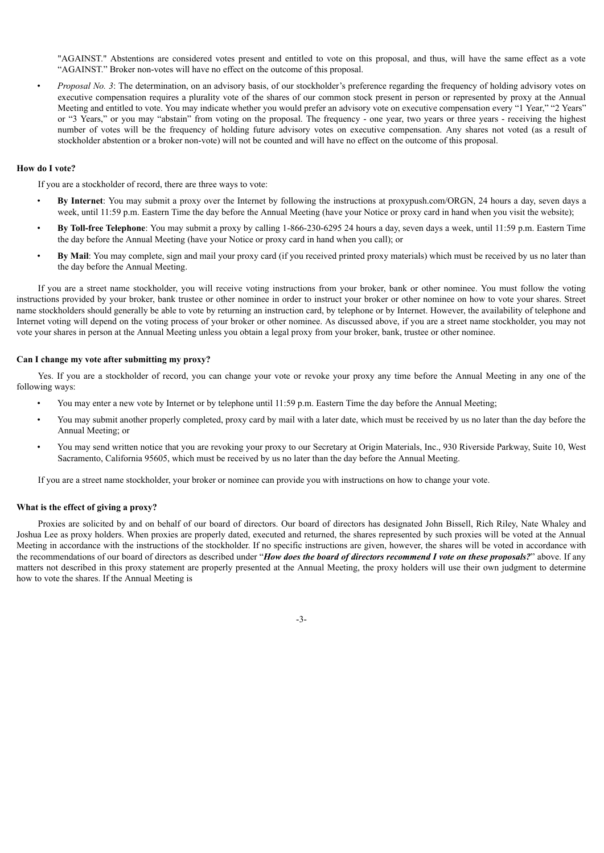"AGAINST." Abstentions are considered votes present and entitled to vote on this proposal, and thus, will have the same effect as a vote "AGAINST." Broker non-votes will have no effect on the outcome of this proposal.

• *Proposal No. 3*: The determination, on an advisory basis, of our stockholder's preference regarding the frequency of holding advisory votes on executive compensation requires a plurality vote of the shares of our common stock present in person or represented by proxy at the Annual Meeting and entitled to vote. You may indicate whether you would prefer an advisory vote on executive compensation every "1 Year," "2 Years" or "3 Years," or you may "abstain" from voting on the proposal. The frequency - one year, two years or three years - receiving the highest number of votes will be the frequency of holding future advisory votes on executive compensation. Any shares not voted (as a result of stockholder abstention or a broker non-vote) will not be counted and will have no effect on the outcome of this proposal.

# **How do I vote?**

If you are a stockholder of record, there are three ways to vote:

- **By Internet**: You may submit a proxy over the Internet by following the instructions at proxypush.com/ORGN, 24 hours a day, seven days a week, until 11:59 p.m. Eastern Time the day before the Annual Meeting (have your Notice or proxy card in hand when you visit the website);
- **By Toll-free Telephone**: You may submit a proxy by calling 1-866-230-6295 24 hours a day, seven days a week, until 11:59 p.m. Eastern Time the day before the Annual Meeting (have your Notice or proxy card in hand when you call); or
- **By Mail**: You may complete, sign and mail your proxy card (if you received printed proxy materials) which must be received by us no later than the day before the Annual Meeting.

If you are a street name stockholder, you will receive voting instructions from your broker, bank or other nominee. You must follow the voting instructions provided by your broker, bank trustee or other nominee in order to instruct your broker or other nominee on how to vote your shares. Street name stockholders should generally be able to vote by returning an instruction card, by telephone or by Internet. However, the availability of telephone and Internet voting will depend on the voting process of your broker or other nominee. As discussed above, if you are a street name stockholder, you may not vote your shares in person at the Annual Meeting unless you obtain a legal proxy from your broker, bank, trustee or other nominee.

# **Can I change my vote after submitting my proxy?**

Yes. If you are a stockholder of record, you can change your vote or revoke your proxy any time before the Annual Meeting in any one of the following ways:

- You may enter a new vote by Internet or by telephone until 11:59 p.m. Eastern Time the day before the Annual Meeting;
- You may submit another properly completed, proxy card by mail with a later date, which must be received by us no later than the day before the Annual Meeting; or
- You may send written notice that you are revoking your proxy to our Secretary at Origin Materials, Inc., 930 Riverside Parkway, Suite 10, West Sacramento, California 95605, which must be received by us no later than the day before the Annual Meeting.

If you are a street name stockholder, your broker or nominee can provide you with instructions on how to change your vote.

#### **What is the effect of giving a proxy?**

Proxies are solicited by and on behalf of our board of directors. Our board of directors has designated John Bissell, Rich Riley, Nate Whaley and Joshua Lee as proxy holders. When proxies are properly dated, executed and returned, the shares represented by such proxies will be voted at the Annual Meeting in accordance with the instructions of the stockholder. If no specific instructions are given, however, the shares will be voted in accordance with the recommendations of our board of directors as described under "How does the board of directors recommend I vote on these proposals?" above. If any matters not described in this proxy statement are properly presented at the Annual Meeting, the proxy holders will use their own judgment to determine how to vote the shares. If the Annual Meeting is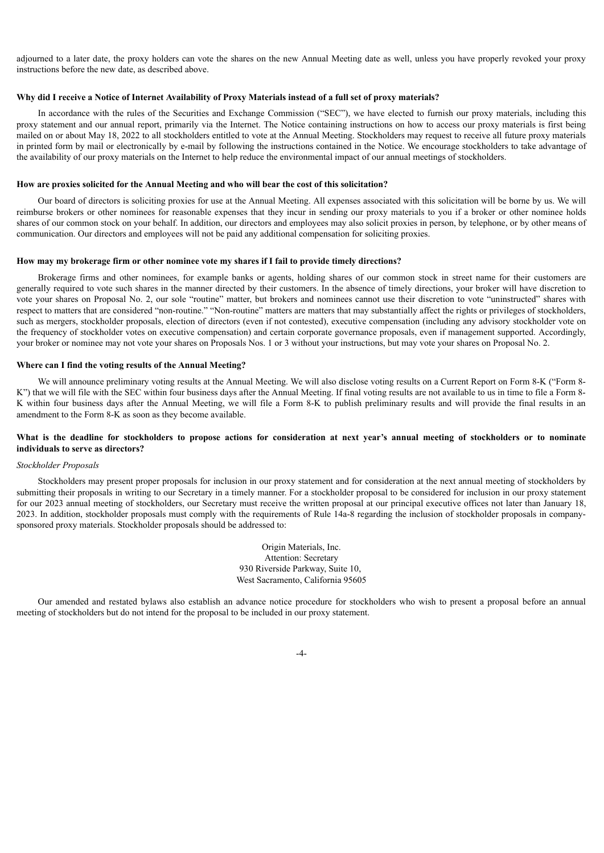adjourned to a later date, the proxy holders can vote the shares on the new Annual Meeting date as well, unless you have properly revoked your proxy instructions before the new date, as described above.

## Why did I receive a Notice of Internet Availability of Proxy Materials instead of a full set of proxy materials?

In accordance with the rules of the Securities and Exchange Commission ("SEC"), we have elected to furnish our proxy materials, including this proxy statement and our annual report, primarily via the Internet. The Notice containing instructions on how to access our proxy materials is first being mailed on or about May 18, 2022 to all stockholders entitled to vote at the Annual Meeting. Stockholders may request to receive all future proxy materials in printed form by mail or electronically by e-mail by following the instructions contained in the Notice. We encourage stockholders to take advantage of the availability of our proxy materials on the Internet to help reduce the environmental impact of our annual meetings of stockholders.

#### **How are proxies solicited for the Annual Meeting and who will bear the cost of this solicitation?**

Our board of directors is soliciting proxies for use at the Annual Meeting. All expenses associated with this solicitation will be borne by us. We will reimburse brokers or other nominees for reasonable expenses that they incur in sending our proxy materials to you if a broker or other nominee holds shares of our common stock on your behalf. In addition, our directors and employees may also solicit proxies in person, by telephone, or by other means of communication. Our directors and employees will not be paid any additional compensation for soliciting proxies.

#### **How may my brokerage firm or other nominee vote my shares if I fail to provide timely directions?**

Brokerage firms and other nominees, for example banks or agents, holding shares of our common stock in street name for their customers are generally required to vote such shares in the manner directed by their customers. In the absence of timely directions, your broker will have discretion to vote your shares on Proposal No. 2, our sole "routine" matter, but brokers and nominees cannot use their discretion to vote "uninstructed" shares with respect to matters that are considered "non-routine." "Non-routine" matters are matters that may substantially affect the rights or privileges of stockholders, such as mergers, stockholder proposals, election of directors (even if not contested), executive compensation (including any advisory stockholder vote on the frequency of stockholder votes on executive compensation) and certain corporate governance proposals, even if management supported. Accordingly, your broker or nominee may not vote your shares on Proposals Nos. 1 or 3 without your instructions, but may vote your shares on Proposal No. 2.

#### **Where can I find the voting results of the Annual Meeting?**

We will announce preliminary voting results at the Annual Meeting. We will also disclose voting results on a Current Report on Form 8-K ("Form 8-K") that we will file with the SEC within four business days after the Annual Meeting. If final voting results are not available to us in time to file a Form 8-K within four business days after the Annual Meeting, we will file a Form 8-K to publish preliminary results and will provide the final results in an amendment to the Form 8-K as soon as they become available.

# What is the deadline for stockholders to propose actions for consideration at next year's annual meeting of stockholders or to nominate **individuals to serve as directors?**

#### *Stockholder Proposals*

Stockholders may present proper proposals for inclusion in our proxy statement and for consideration at the next annual meeting of stockholders by submitting their proposals in writing to our Secretary in a timely manner. For a stockholder proposal to be considered for inclusion in our proxy statement for our 2023 annual meeting of stockholders, our Secretary must receive the written proposal at our principal executive offices not later than January 18, 2023. In addition, stockholder proposals must comply with the requirements of Rule 14a-8 regarding the inclusion of stockholder proposals in companysponsored proxy materials. Stockholder proposals should be addressed to:

> Origin Materials, Inc. Attention: Secretary 930 Riverside Parkway, Suite 10, West Sacramento, California 95605

Our amended and restated bylaws also establish an advance notice procedure for stockholders who wish to present a proposal before an annual meeting of stockholders but do not intend for the proposal to be included in our proxy statement.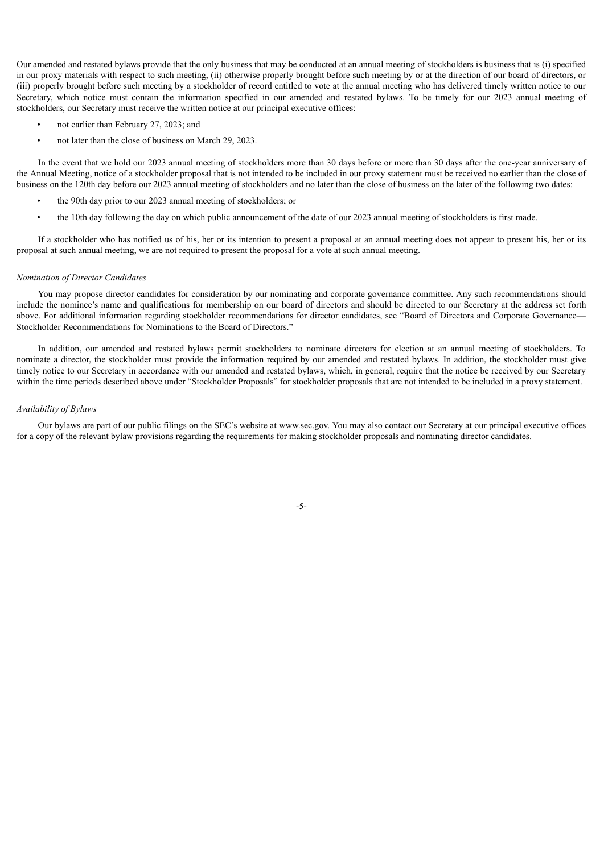Our amended and restated bylaws provide that the only business that may be conducted at an annual meeting of stockholders is business that is (i) specified in our proxy materials with respect to such meeting, (ii) otherwise properly brought before such meeting by or at the direction of our board of directors, or (iii) properly brought before such meeting by a stockholder of record entitled to vote at the annual meeting who has delivered timely written notice to our Secretary, which notice must contain the information specified in our amended and restated bylaws. To be timely for our 2023 annual meeting of stockholders, our Secretary must receive the written notice at our principal executive offices:

- not earlier than February 27, 2023; and
- not later than the close of business on March 29, 2023.

In the event that we hold our 2023 annual meeting of stockholders more than 30 days before or more than 30 days after the one-year anniversary of the Annual Meeting, notice of a stockholder proposal that is not intended to be included in our proxy statement must be received no earlier than the close of business on the 120th day before our 2023 annual meeting of stockholders and no later than the close of business on the later of the following two dates:

- the 90th day prior to our 2023 annual meeting of stockholders; or
- the 10th day following the day on which public announcement of the date of our 2023 annual meeting of stockholders is first made.

If a stockholder who has notified us of his, her or its intention to present a proposal at an annual meeting does not appear to present his, her or its proposal at such annual meeting, we are not required to present the proposal for a vote at such annual meeting.

#### *Nomination of Director Candidates*

You may propose director candidates for consideration by our nominating and corporate governance committee. Any such recommendations should include the nominee's name and qualifications for membership on our board of directors and should be directed to our Secretary at the address set forth above. For additional information regarding stockholder recommendations for director candidates, see "Board of Directors and Corporate Governance-Stockholder Recommendations for Nominations to the Board of Directors."

In addition, our amended and restated bylaws permit stockholders to nominate directors for election at an annual meeting of stockholders. To nominate a director, the stockholder must provide the information required by our amended and restated bylaws. In addition, the stockholder must give timely notice to our Secretary in accordance with our amended and restated bylaws, which, in general, require that the notice be received by our Secretary within the time periods described above under "Stockholder Proposals" for stockholder proposals that are not intended to be included in a proxy statement.

#### *Availability of Bylaws*

<span id="page-7-0"></span>Our bylaws are part of our public filings on the SEC's website at www.sec.gov. You may also contact our Secretary at our principal executive offices for a copy of the relevant bylaw provisions regarding the requirements for making stockholder proposals and nominating director candidates.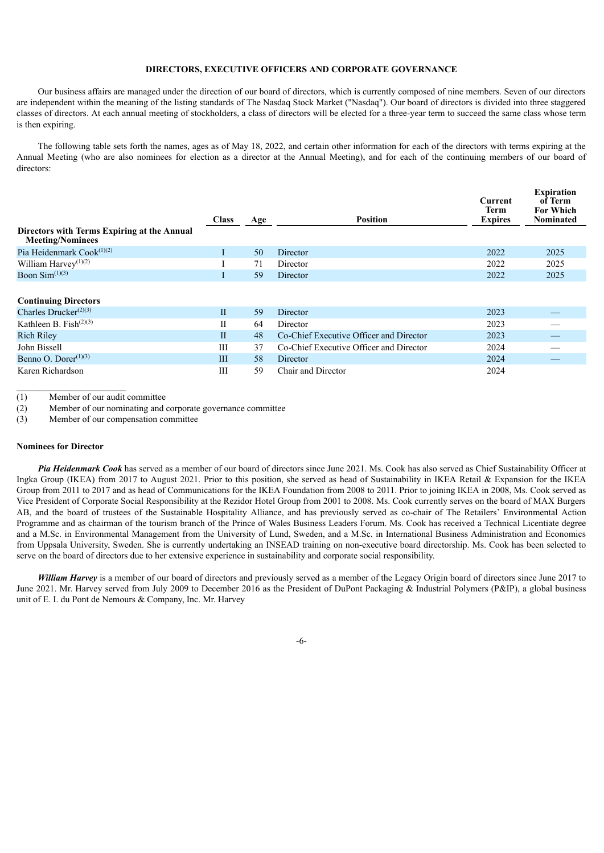# **DIRECTORS, EXECUTIVE OFFICERS AND CORPORATE GOVERNANCE**

Our business affairs are managed under the direction of our board of directors, which is currently composed of nine members. Seven of our directors are independent within the meaning of the listing standards of The Nasdaq Stock Market ("Nasdaq"). Our board of directors is divided into three staggered classes of directors. At each annual meeting of stockholders, a class of directors will be elected for a three-year term to succeed the same class whose term is then expiring.

The following table sets forth the names, ages as of May 18, 2022, and certain other information for each of the directors with terms expiring at the Annual Meeting (who are also nominees for election as a director at the Annual Meeting), and for each of the continuing members of our board of directors:

|                                                                        | <b>Class</b> | Age | <b>Position</b>                         | Current<br>Term<br><b>Expires</b> | <b>Expiration</b><br>of Term<br><b>For Which</b><br><b>Nominated</b> |
|------------------------------------------------------------------------|--------------|-----|-----------------------------------------|-----------------------------------|----------------------------------------------------------------------|
| Directors with Terms Expiring at the Annual<br><b>Meeting/Nominees</b> |              |     |                                         |                                   |                                                                      |
| Pia Heidenmark Cook <sup>(1)(2)</sup>                                  |              | 50  | Director                                | 2022                              | 2025                                                                 |
| William Harvey <sup>(1)(2)</sup>                                       |              | 71  | Director                                | 2022                              | 2025                                                                 |
| Boon $Sim^{(1)(3)}$                                                    |              | 59  | Director                                | 2022                              | 2025                                                                 |
| <b>Continuing Directors</b>                                            |              |     |                                         |                                   |                                                                      |
| Charles Drucker $^{(2)(3)}$                                            | $\mathbf{I}$ | 59  | Director                                | 2023                              |                                                                      |
| Kathleen B. Fish $(2)(3)$                                              | П            | 64  | Director                                | 2023                              |                                                                      |
| <b>Rich Riley</b>                                                      | П            | 48  | Co-Chief Executive Officer and Director | 2023                              |                                                                      |
| John Bissell                                                           | Ш            | 37  | Co-Chief Executive Officer and Director | 2024                              |                                                                      |
| Benno O. Dorer $(1)(3)$                                                | Ш            | 58  | Director                                | 2024                              |                                                                      |
| Karen Richardson                                                       | Ш            | 59  | Chair and Director                      | 2024                              |                                                                      |

(1) Member of our audit committee

(2) Member of our nominating and corporate governance committee

<span id="page-8-0"></span>(3) Member of our compensation committee

# **Nominees for Director**

*Pia Heidenmark Cook* has served as a member of our board of directors since June 2021. Ms. Cook has also served as Chief Sustainability Officer at Ingka Group (IKEA) from 2017 to August 2021. Prior to this position, she served as head of Sustainability in IKEA Retail & Expansion for the IKEA Group from 2011 to 2017 and as head of Communications for the IKEA Foundation from 2008 to 2011. Prior to joining IKEA in 2008, Ms. Cook served as Vice President of Corporate Social Responsibility at the Rezidor Hotel Group from 2001 to 2008. Ms. Cook currently serves on the board of MAX Burgers AB, and the board of trustees of the Sustainable Hospitality Alliance, and has previously served as co-chair of The Retailers' Environmental Action Programme and as chairman of the tourism branch of the Prince of Wales Business Leaders Forum. Ms. Cook has received a Technical Licentiate degree and a M.Sc. in Environmental Management from the University of Lund, Sweden, and a M.Sc. in International Business Administration and Economics from Uppsala University, Sweden. She is currently undertaking an INSEAD training on non-executive board directorship. Ms. Cook has been selected to serve on the board of directors due to her extensive experience in sustainability and corporate social responsibility.

*William Harvey* is a member of our board of directors and previously served as a member of the Legacy Origin board of directors since June 2017 to June 2021. Mr. Harvey served from July 2009 to December 2016 as the President of DuPont Packaging & Industrial Polymers (P&IP), a global business unit of E. I. du Pont de Nemours & Company, Inc. Mr. Harvey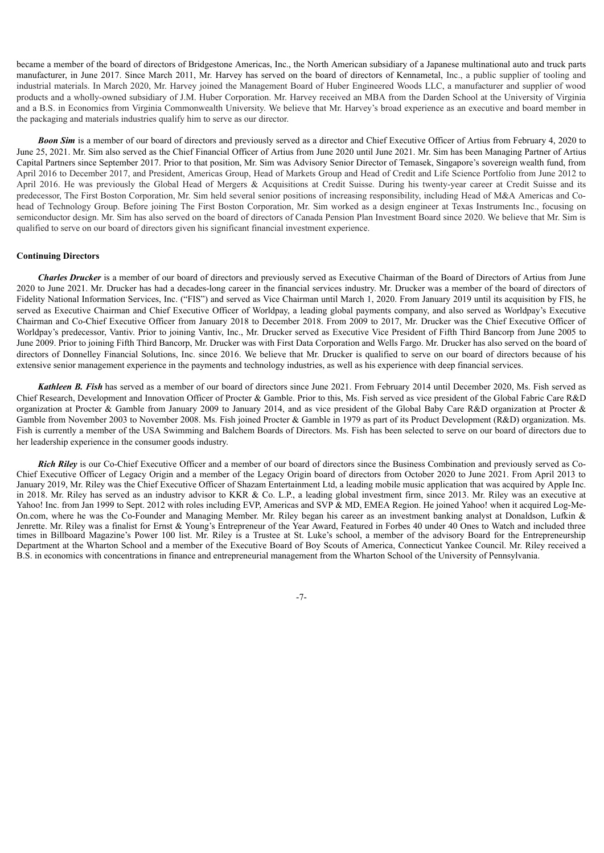became a member of the board of directors of Bridgestone Americas, Inc., the North American subsidiary of a Japanese multinational auto and truck parts manufacturer, in June 2017. Since March 2011, Mr. Harvey has served on the board of directors of Kennametal, Inc., a public supplier of tooling and industrial materials. In March 2020, Mr. Harvey joined the Management Board of Huber Engineered Woods LLC, a manufacturer and supplier of wood products and a wholly-owned subsidiary of J.M. Huber Corporation. Mr. Harvey received an MBA from the Darden School at the University of Virginia and a B.S. in Economics from Virginia Commonwealth University. We believe that Mr. Harvey's broad experience as an executive and board member in the packaging and materials industries qualify him to serve as our director.

**Boon Sim** is a member of our board of directors and previously served as a director and Chief Executive Officer of Artius from February 4, 2020 to June 25, 2021. Mr. Sim also served as the Chief Financial Officer of Artius from June 2020 until June 2021. Mr. Sim has been Managing Partner of Artius Capital Partners since September 2017. Prior to that position, Mr. Sim was Advisory Senior Director of Temasek, Singapore's sovereign wealth fund, from April 2016 to December 2017, and President, Americas Group, Head of Markets Group and Head of Credit and Life Science Portfolio from June 2012 to April 2016. He was previously the Global Head of Mergers & Acquisitions at Credit Suisse. During his twenty-year career at Credit Suisse and its predecessor, The First Boston Corporation, Mr. Sim held several senior positions of increasing responsibility, including Head of M&A Americas and Cohead of Technology Group. Before joining The First Boston Corporation, Mr. Sim worked as a design engineer at Texas Instruments Inc., focusing on semiconductor design. Mr. Sim has also served on the board of directors of Canada Pension Plan Investment Board since 2020. We believe that Mr. Sim is qualified to serve on our board of directors given his significant financial investment experience.

#### <span id="page-9-0"></span>**Continuing Directors**

*Charles Drucker* is a member of our board of directors and previously served as Executive Chairman of the Board of Directors of Artius from June 2020 to June 2021. Mr. Drucker has had a decades-long career in the financial services industry. Mr. Drucker was a member of the board of directors of Fidelity National Information Services, Inc. ("FIS") and served as Vice Chairman until March 1, 2020. From January 2019 until its acquisition by FIS, he served as Executive Chairman and Chief Executive Officer of Worldpay, a leading global payments company, and also served as Worldpay's Executive Chairman and Co-Chief Executive Officer from January 2018 to December 2018. From 2009 to 2017, Mr. Drucker was the Chief Executive Officer of Worldpay's predecessor, Vantiv. Prior to joining Vantiv, Inc., Mr. Drucker served as Executive Vice President of Fifth Third Bancorp from June 2005 to June 2009. Prior to joining Fifth Third Bancorp, Mr. Drucker was with First Data Corporation and Wells Fargo. Mr. Drucker has also served on the board of directors of Donnelley Financial Solutions, Inc. since 2016. We believe that Mr. Drucker is qualified to serve on our board of directors because of his extensive senior management experience in the payments and technology industries, as well as his experience with deep financial services.

*Kathleen B. Fish* has served as a member of our board of directors since June 2021. From February 2014 until December 2020, Ms. Fish served as Chief Research, Development and Innovation Officer of Procter & Gamble. Prior to this, Ms. Fish served as vice president of the Global Fabric Care R&D organization at Procter & Gamble from January 2009 to January 2014, and as vice president of the Global Baby Care R&D organization at Procter & Gamble from November 2003 to November 2008. Ms. Fish joined Procter & Gamble in 1979 as part of its Product Development (R&D) organization. Ms. Fish is currently a member of the USA Swimming and Balchem Boards of Directors. Ms. Fish has been selected to serve on our board of directors due to her leadership experience in the consumer goods industry.

*Rich Riley* is our Co-Chief Executive Officer and a member of our board of directors since the Business Combination and previously served as Co-Chief Executive Officer of Legacy Origin and a member of the Legacy Origin board of directors from October 2020 to June 2021. From April 2013 to January 2019, Mr. Riley was the Chief Executive Officer of Shazam Entertainment Ltd, a leading mobile music application that was acquired by Apple Inc. in 2018. Mr. Riley has served as an industry advisor to KKR & Co. L.P., a leading global investment firm, since 2013. Mr. Riley was an executive at Yahoo! Inc. from Jan 1999 to Sept. 2012 with roles including EVP, Americas and SVP & MD, EMEA Region. He joined Yahoo! when it acquired Log-Me-On.com, where he was the Co-Founder and Managing Member. Mr. Riley began his career as an investment banking analyst at Donaldson, Lufkin & Jenrette. Mr. Riley was a finalist for Ernst & Young's Entrepreneur of the Year Award, Featured in Forbes 40 under 40 Ones to Watch and included three times in Billboard Magazine's Power 100 list. Mr. Riley is a Trustee at St. Luke's school, a member of the advisory Board for the Entrepreneurship Department at the Wharton School and a member of the Executive Board of Boy Scouts of America, Connecticut Yankee Council. Mr. Riley received a B.S. in economics with concentrations in finance and entrepreneurial management from the Wharton School of the University of Pennsylvania.

-7-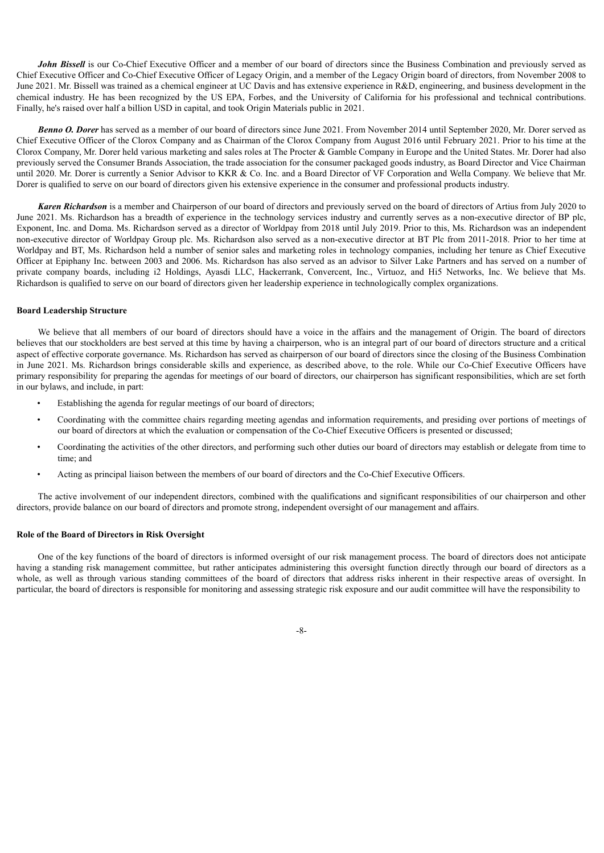*John Bissell* is our Co-Chief Executive Officer and a member of our board of directors since the Business Combination and previously served as Chief Executive Officer and Co-Chief Executive Officer of Legacy Origin, and a member of the Legacy Origin board of directors, from November 2008 to June 2021. Mr. Bissell was trained as a chemical engineer at UC Davis and has extensive experience in R&D, engineering, and business development in the chemical industry. He has been recognized by the US EPA, Forbes, and the University of California for his professional and technical contributions. Finally, he's raised over half a billion USD in capital, and took Origin Materials public in 2021.

*Benno O. Dorer* has served as a member of our board of directors since June 2021. From November 2014 until September 2020, Mr. Dorer served as Chief Executive Officer of the Clorox Company and as Chairman of the Clorox Company from August 2016 until February 2021. Prior to his time at the Clorox Company, Mr. Dorer held various marketing and sales roles at The Procter & Gamble Company in Europe and the United States. Mr. Dorer had also previously served the Consumer Brands Association, the trade association for the consumer packaged goods industry, as Board Director and Vice Chairman until 2020. Mr. Dorer is currently a Senior Advisor to KKR & Co. Inc. and a Board Director of VF Corporation and Wella Company. We believe that Mr. Dorer is qualified to serve on our board of directors given his extensive experience in the consumer and professional products industry.

*Karen Richardson* is a member and Chairperson of our board of directors and previously served on the board of directors of Artius from July 2020 to June 2021. Ms. Richardson has a breadth of experience in the technology services industry and currently serves as a non-executive director of BP plc, Exponent, Inc. and Doma. Ms. Richardson served as a director of Worldpay from 2018 until July 2019. Prior to this, Ms. Richardson was an independent non-executive director of Worldpay Group plc. Ms. Richardson also served as a non-executive director at BT Plc from 2011-2018. Prior to her time at Worldpay and BT, Ms. Richardson held a number of senior sales and marketing roles in technology companies, including her tenure as Chief Executive Officer at Epiphany Inc. between 2003 and 2006. Ms. Richardson has also served as an advisor to Silver Lake Partners and has served on a number of private company boards, including i2 Holdings, Ayasdi LLC, Hackerrank, Convercent, Inc., Virtuoz, and Hi5 Networks, Inc. We believe that Ms. Richardson is qualified to serve on our board of directors given her leadership experience in technologically complex organizations.

# <span id="page-10-0"></span>**Board Leadership Structure**

We believe that all members of our board of directors should have a voice in the affairs and the management of Origin. The board of directors believes that our stockholders are best served at this time by having a chairperson, who is an integral part of our board of directors structure and a critical aspect of effective corporate governance. Ms. Richardson has served as chairperson of our board of directors since the closing of the Business Combination in June 2021. Ms. Richardson brings considerable skills and experience, as described above, to the role. While our Co-Chief Executive Officers have primary responsibility for preparing the agendas for meetings of our board of directors, our chairperson has significant responsibilities, which are set forth in our bylaws, and include, in part:

- Establishing the agenda for regular meetings of our board of directors;
- Coordinating with the committee chairs regarding meeting agendas and information requirements, and presiding over portions of meetings of our board of directors at which the evaluation or compensation of the Co-Chief Executive Officers is presented or discussed;
- Coordinating the activities of the other directors, and performing such other duties our board of directors may establish or delegate from time to time; and
- Acting as principal liaison between the members of our board of directors and the Co-Chief Executive Officers.

The active involvement of our independent directors, combined with the qualifications and significant responsibilities of our chairperson and other directors, provide balance on our board of directors and promote strong, independent oversight of our management and affairs.

# <span id="page-10-1"></span>**Role of the Board of Directors in Risk Oversight**

One of the key functions of the board of directors is informed oversight of our risk management process. The board of directors does not anticipate having a standing risk management committee, but rather anticipates administering this oversight function directly through our board of directors as a whole, as well as through various standing committees of the board of directors that address risks inherent in their respective areas of oversight. In particular, the board of directors is responsible for monitoring and assessing strategic risk exposure and our audit committee will have the responsibility to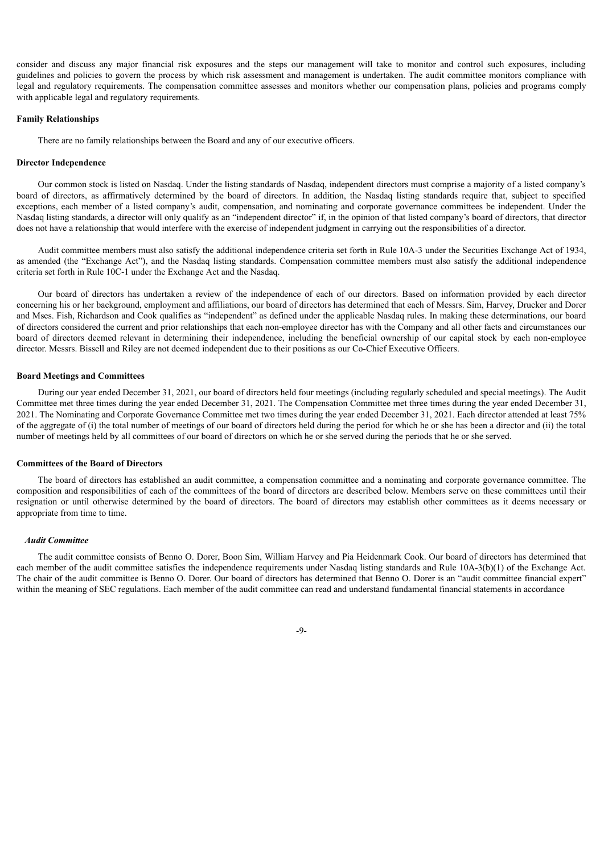consider and discuss any major financial risk exposures and the steps our management will take to monitor and control such exposures, including guidelines and policies to govern the process by which risk assessment and management is undertaken. The audit committee monitors compliance with legal and regulatory requirements. The compensation committee assesses and monitors whether our compensation plans, policies and programs comply with applicable legal and regulatory requirements.

#### <span id="page-11-0"></span>**Family Relationships**

There are no family relationships between the Board and any of our executive officers.

# <span id="page-11-1"></span>**Director Independence**

Our common stock is listed on Nasdaq. Under the listing standards of Nasdaq, independent directors must comprise a majority of a listed company's board of directors, as affirmatively determined by the board of directors. In addition, the Nasdaq listing standards require that, subject to specified exceptions, each member of a listed company's audit, compensation, and nominating and corporate governance committees be independent. Under the Nasdaq listing standards, a director will only qualify as an "independent director" if, in the opinion of that listed company's board of directors, that director does not have a relationship that would interfere with the exercise of independent judgment in carrying out the responsibilities of a director.

Audit committee members must also satisfy the additional independence criteria set forth in Rule 10A-3 under the Securities Exchange Act of 1934, as amended (the "Exchange Act"), and the Nasdaq listing standards. Compensation committee members must also satisfy the additional independence criteria set forth in Rule 10C-1 under the Exchange Act and the Nasdaq.

Our board of directors has undertaken a review of the independence of each of our directors. Based on information provided by each director concerning his or her background, employment and affiliations, our board of directors has determined that each of Messrs. Sim, Harvey, Drucker and Dorer and Mses. Fish, Richardson and Cook qualifies as "independent" as defined under the applicable Nasdaq rules. In making these determinations, our board of directors considered the current and prior relationships that each non-employee director has with the Company and all other facts and circumstances our board of directors deemed relevant in determining their independence, including the beneficial ownership of our capital stock by each non-employee director. Messrs. Bissell and Riley are not deemed independent due to their positions as our Co-Chief Executive Officers.

#### <span id="page-11-2"></span>**Board Meetings and Committees**

During our year ended December 31, 2021, our board of directors held four meetings (including regularly scheduled and special meetings). The Audit Committee met three times during the year ended December 31, 2021. The Compensation Committee met three times during the year ended December 31, 2021. The Nominating and Corporate Governance Committee met two times during the year ended December 31, 2021. Each director attended at least 75% of the aggregate of (i) the total number of meetings of our board of directors held during the period for which he or she has been a director and (ii) the total number of meetings held by all committees of our board of directors on which he or she served during the periods that he or she served.

#### <span id="page-11-3"></span>**Committees of the Board of Directors**

The board of directors has established an audit committee, a compensation committee and a nominating and corporate governance committee. The composition and responsibilities of each of the committees of the board of directors are described below. Members serve on these committees until their resignation or until otherwise determined by the board of directors. The board of directors may establish other committees as it deems necessary or appropriate from time to time.

#### *Audit Committee*

The audit committee consists of Benno O. Dorer, Boon Sim, William Harvey and Pia Heidenmark Cook. Our board of directors has determined that each member of the audit committee satisfies the independence requirements under Nasdaq listing standards and Rule 10A-3(b)(1) of the Exchange Act. The chair of the audit committee is Benno O. Dorer. Our board of directors has determined that Benno O. Dorer is an "audit committee financial expert" within the meaning of SEC regulations. Each member of the audit committee can read and understand fundamental financial statements in accordance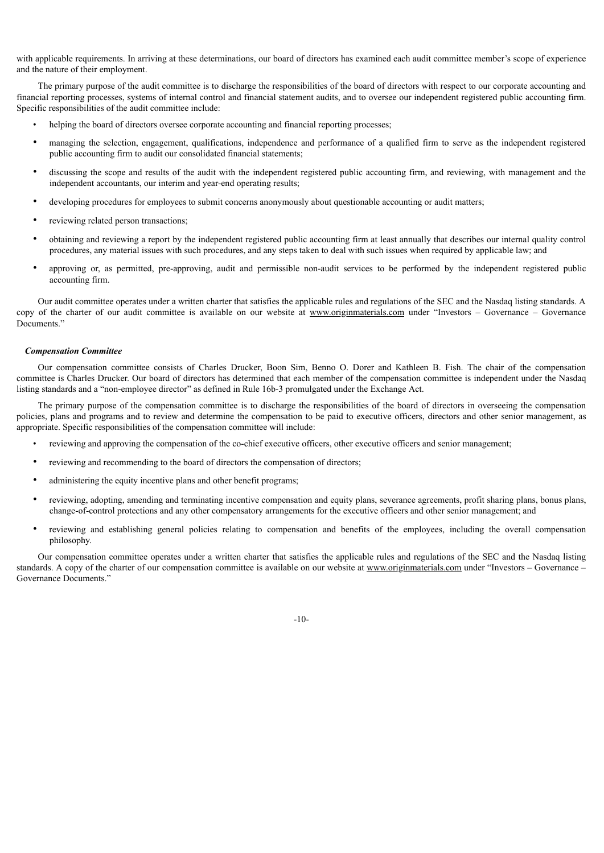with applicable requirements. In arriving at these determinations, our board of directors has examined each audit committee member's scope of experience and the nature of their employment.

The primary purpose of the audit committee is to discharge the responsibilities of the board of directors with respect to our corporate accounting and financial reporting processes, systems of internal control and financial statement audits, and to oversee our independent registered public accounting firm. Specific responsibilities of the audit committee include:

- helping the board of directors oversee corporate accounting and financial reporting processes;
- managing the selection, engagement, qualifications, independence and performance of a qualified firm to serve as the independent registered public accounting firm to audit our consolidated financial statements;
- discussing the scope and results of the audit with the independent registered public accounting firm, and reviewing, with management and the independent accountants, our interim and year-end operating results;
- developing procedures for employees to submit concerns anonymously about questionable accounting or audit matters;
- reviewing related person transactions;
- obtaining and reviewing a report by the independent registered public accounting firm at least annually that describes our internal quality control procedures, any material issues with such procedures, and any steps taken to deal with such issues when required by applicable law; and
- approving or, as permitted, pre-approving, audit and permissible non-audit services to be performed by the independent registered public accounting firm.

Our audit committee operates under a written charter that satisfies the applicable rules and regulations of the SEC and the Nasdaq listing standards. A copy of the charter of our audit committee is available on our website at www.originmaterials.com under "Investors – Governance – Governance Documents."

#### *Compensation Committee*

Our compensation committee consists of Charles Drucker, Boon Sim, Benno O. Dorer and Kathleen B. Fish. The chair of the compensation committee is Charles Drucker. Our board of directors has determined that each member of the compensation committee is independent under the Nasdaq listing standards and a "non-employee director" as defined in Rule 16b-3 promulgated under the Exchange Act.

The primary purpose of the compensation committee is to discharge the responsibilities of the board of directors in overseeing the compensation policies, plans and programs and to review and determine the compensation to be paid to executive officers, directors and other senior management, as appropriate. Specific responsibilities of the compensation committee will include:

- reviewing and approving the compensation of the co-chief executive officers, other executive officers and senior management;
- reviewing and recommending to the board of directors the compensation of directors;
- administering the equity incentive plans and other benefit programs;
- reviewing, adopting, amending and terminating incentive compensation and equity plans, severance agreements, profit sharing plans, bonus plans, change-of-control protections and any other compensatory arrangements for the executive officers and other senior management; and
- reviewing and establishing general policies relating to compensation and benefits of the employees, including the overall compensation philosophy.

Our compensation committee operates under a written charter that satisfies the applicable rules and regulations of the SEC and the Nasdaq listing standards. A copy of the charter of our compensation committee is available on our website at www.originmaterials.com under "Investors – Governance – Governance Documents."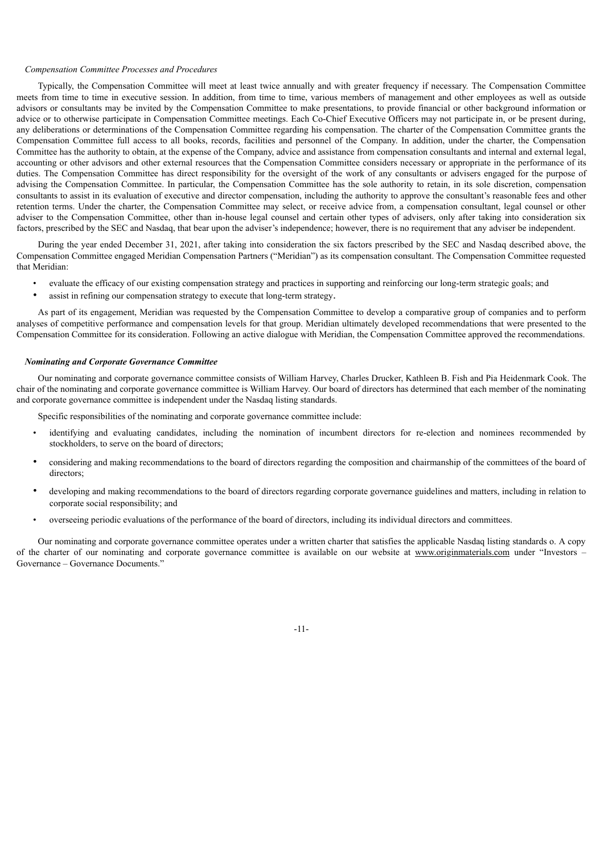# *Compensation Committee Processes and Procedures*

Typically, the Compensation Committee will meet at least twice annually and with greater frequency if necessary. The Compensation Committee meets from time to time in executive session. In addition, from time to time, various members of management and other employees as well as outside advisors or consultants may be invited by the Compensation Committee to make presentations, to provide financial or other background information or advice or to otherwise participate in Compensation Committee meetings. Each Co-Chief Executive Officers may not participate in, or be present during, any deliberations or determinations of the Compensation Committee regarding his compensation. The charter of the Compensation Committee grants the Compensation Committee full access to all books, records, facilities and personnel of the Company. In addition, under the charter, the Compensation Committee has the authority to obtain, at the expense of the Company, advice and assistance from compensation consultants and internal and external legal, accounting or other advisors and other external resources that the Compensation Committee considers necessary or appropriate in the performance of its duties. The Compensation Committee has direct responsibility for the oversight of the work of any consultants or advisers engaged for the purpose of advising the Compensation Committee. In particular, the Compensation Committee has the sole authority to retain, in its sole discretion, compensation consultants to assist in its evaluation of executive and director compensation, including the authority to approve the consultant's reasonable fees and other retention terms. Under the charter, the Compensation Committee may select, or receive advice from, a compensation consultant, legal counsel or other adviser to the Compensation Committee, other than in-house legal counsel and certain other types of advisers, only after taking into consideration six factors, prescribed by the SEC and Nasdaq, that bear upon the adviser's independence; however, there is no requirement that any adviser be independent.

During the year ended December 31, 2021, after taking into consideration the six factors prescribed by the SEC and Nasdaq described above, the Compensation Committee engaged Meridian Compensation Partners ("Meridian") as its compensation consultant. The Compensation Committee requested that Meridian:

- evaluate the efficacy of our existing compensation strategy and practices in supporting and reinforcing our long-term strategic goals; and
- assist in refining our compensation strategy to execute that long-term strategy.

As part of its engagement, Meridian was requested by the Compensation Committee to develop a comparative group of companies and to perform analyses of competitive performance and compensation levels for that group. Meridian ultimately developed recommendations that were presented to the Compensation Committee for its consideration. Following an active dialogue with Meridian, the Compensation Committee approved the recommendations.

#### *Nominating and Corporate Governance Committee*

Our nominating and corporate governance committee consists of William Harvey, Charles Drucker, Kathleen B. Fish and Pia Heidenmark Cook. The chair of the nominating and corporate governance committee is William Harvey. Our board of directors has determined that each member of the nominating and corporate governance committee is independent under the Nasdaq listing standards.

Specific responsibilities of the nominating and corporate governance committee include:

- identifying and evaluating candidates, including the nomination of incumbent directors for re-election and nominees recommended by stockholders, to serve on the board of directors;
- considering and making recommendations to the board of directors regarding the composition and chairmanship of the committees of the board of directors;
- developing and making recommendations to the board of directors regarding corporate governance guidelines and matters, including in relation to corporate social responsibility; and
- overseeing periodic evaluations of the performance of the board of directors, including its individual directors and committees.

<span id="page-13-0"></span>Our nominating and corporate governance committee operates under a written charter that satisfies the applicable Nasdaq listing standards o. A copy of the charter of our nominating and corporate governance committee is available on our website at www.originmaterials.com under "Investors – Governance – Governance Documents."

-11-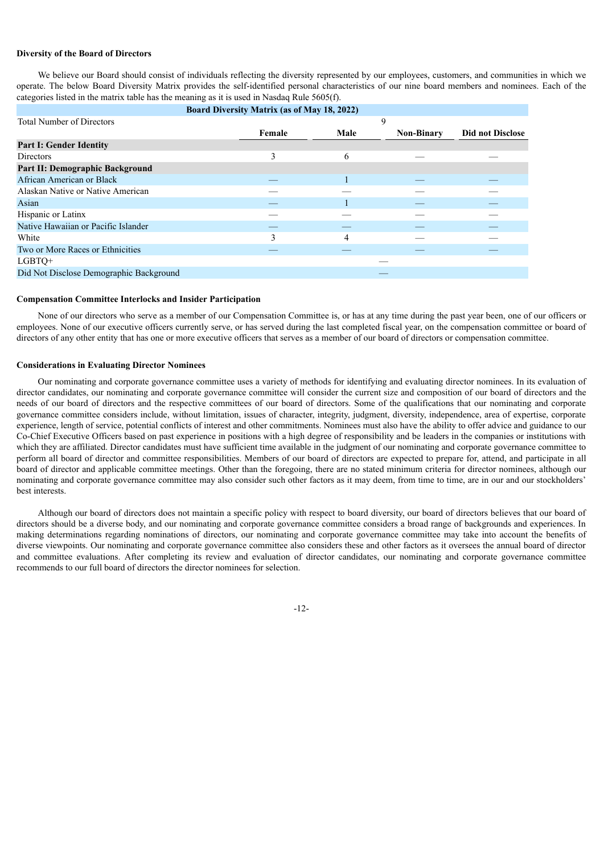#### **Diversity of the Board of Directors**

We believe our Board should consist of individuals reflecting the diversity represented by our employees, customers, and communities in which we operate. The below Board Diversity Matrix provides the self-identified personal characteristics of our nine board members and nominees. Each of the categories listed in the matrix table has the meaning as it is used in Nasdaq Rule 5605(f).

|                                         |   | 9      |                                                                                 |
|-----------------------------------------|---|--------|---------------------------------------------------------------------------------|
|                                         |   |        | <b>Did not Disclose</b>                                                         |
|                                         |   |        |                                                                                 |
| 3                                       | 6 |        |                                                                                 |
|                                         |   |        |                                                                                 |
|                                         |   |        |                                                                                 |
|                                         |   |        |                                                                                 |
|                                         |   |        |                                                                                 |
|                                         |   |        |                                                                                 |
|                                         |   |        |                                                                                 |
| 3                                       | 4 |        |                                                                                 |
|                                         |   |        |                                                                                 |
|                                         |   |        |                                                                                 |
| Did Not Disclose Demographic Background |   |        |                                                                                 |
|                                         |   | Female | <b>Board Diversity Matrix (as of May 18, 2022)</b><br>Male<br><b>Non-Binary</b> |

#### <span id="page-14-0"></span>**Compensation Committee Interlocks and Insider Participation**

None of our directors who serve as a member of our Compensation Committee is, or has at any time during the past year been, one of our officers or employees. None of our executive officers currently serve, or has served during the last completed fiscal year, on the compensation committee or board of directors of any other entity that has one or more executive officers that serves as a member of our board of directors or compensation committee.

# <span id="page-14-1"></span>**Considerations in Evaluating Director Nominees**

Our nominating and corporate governance committee uses a variety of methods for identifying and evaluating director nominees. In its evaluation of director candidates, our nominating and corporate governance committee will consider the current size and composition of our board of directors and the needs of our board of directors and the respective committees of our board of directors. Some of the qualifications that our nominating and corporate governance committee considers include, without limitation, issues of character, integrity, judgment, diversity, independence, area of expertise, corporate experience, length of service, potential conflicts of interest and other commitments. Nominees must also have the ability to offer advice and guidance to our Co-Chief Executive Officers based on past experience in positions with a high degree of responsibility and be leaders in the companies or institutions with which they are affiliated. Director candidates must have sufficient time available in the judgment of our nominating and corporate governance committee to perform all board of director and committee responsibilities. Members of our board of directors are expected to prepare for, attend, and participate in all board of director and applicable committee meetings. Other than the foregoing, there are no stated minimum criteria for director nominees, although our nominating and corporate governance committee may also consider such other factors as it may deem, from time to time, are in our and our stockholders' best interests.

<span id="page-14-2"></span>Although our board of directors does not maintain a specific policy with respect to board diversity, our board of directors believes that our board of directors should be a diverse body, and our nominating and corporate governance committee considers a broad range of backgrounds and experiences. In making determinations regarding nominations of directors, our nominating and corporate governance committee may take into account the benefits of diverse viewpoints. Our nominating and corporate governance committee also considers these and other factors as it oversees the annual board of director and committee evaluations. After completing its review and evaluation of director candidates, our nominating and corporate governance committee recommends to our full board of directors the director nominees for selection.

-12-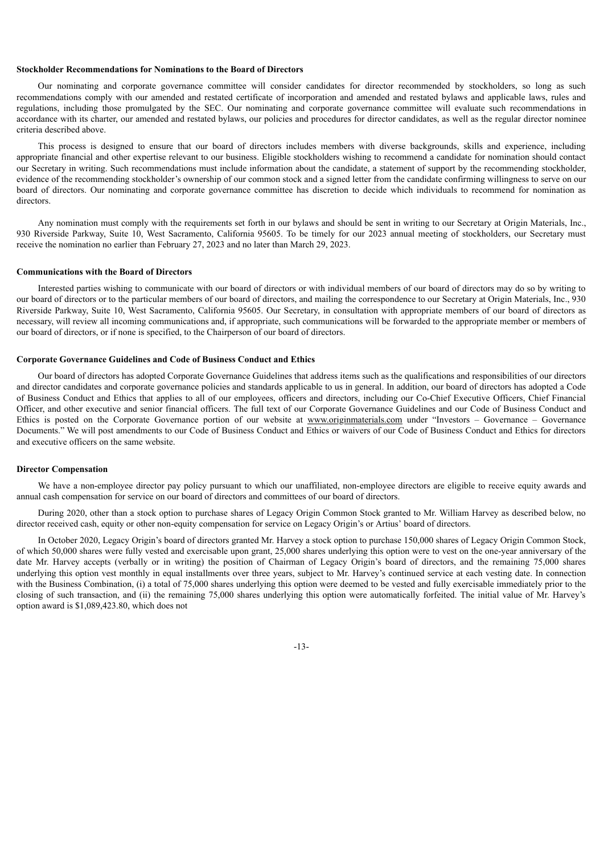#### **Stockholder Recommendations for Nominations to the Board of Directors**

Our nominating and corporate governance committee will consider candidates for director recommended by stockholders, so long as such recommendations comply with our amended and restated certificate of incorporation and amended and restated bylaws and applicable laws, rules and regulations, including those promulgated by the SEC. Our nominating and corporate governance committee will evaluate such recommendations in accordance with its charter, our amended and restated bylaws, our policies and procedures for director candidates, as well as the regular director nominee criteria described above.

This process is designed to ensure that our board of directors includes members with diverse backgrounds, skills and experience, including appropriate financial and other expertise relevant to our business. Eligible stockholders wishing to recommend a candidate for nomination should contact our Secretary in writing. Such recommendations must include information about the candidate, a statement of support by the recommending stockholder, evidence of the recommending stockholder's ownership of our common stock and a signed letter from the candidate confirming willingness to serve on our board of directors. Our nominating and corporate governance committee has discretion to decide which individuals to recommend for nomination as directors.

Any nomination must comply with the requirements set forth in our bylaws and should be sent in writing to our Secretary at Origin Materials, Inc., 930 Riverside Parkway, Suite 10, West Sacramento, California 95605. To be timely for our 2023 annual meeting of stockholders, our Secretary must receive the nomination no earlier than February 27, 2023 and no later than March 29, 2023.

#### <span id="page-15-0"></span>**Communications with the Board of Directors**

Interested parties wishing to communicate with our board of directors or with individual members of our board of directors may do so by writing to our board of directors or to the particular members of our board of directors, and mailing the correspondence to our Secretary at Origin Materials, Inc., 930 Riverside Parkway, Suite 10, West Sacramento, California 95605. Our Secretary, in consultation with appropriate members of our board of directors as necessary, will review all incoming communications and, if appropriate, such communications will be forwarded to the appropriate member or members of our board of directors, or if none is specified, to the Chairperson of our board of directors.

#### <span id="page-15-1"></span>**Corporate Governance Guidelines and Code of Business Conduct and Ethics**

Our board of directors has adopted Corporate Governance Guidelines that address items such as the qualifications and responsibilities of our directors and director candidates and corporate governance policies and standards applicable to us in general. In addition, our board of directors has adopted a Code of Business Conduct and Ethics that applies to all of our employees, officers and directors, including our Co-Chief Executive Officers, Chief Financial Officer, and other executive and senior financial officers. The full text of our Corporate Governance Guidelines and our Code of Business Conduct and Ethics is posted on the Corporate Governance portion of our website at www.originmaterials.com under "Investors – Governance – Governance Documents." We will post amendments to our Code of Business Conduct and Ethics or waivers of our Code of Business Conduct and Ethics for directors and executive officers on the same website.

#### <span id="page-15-2"></span>**Director Compensation**

We have a non-employee director pay policy pursuant to which our unaffiliated, non-employee directors are eligible to receive equity awards and annual cash compensation for service on our board of directors and committees of our board of directors.

During 2020, other than a stock option to purchase shares of Legacy Origin Common Stock granted to Mr. William Harvey as described below, no director received cash, equity or other non-equity compensation for service on Legacy Origin's or Artius' board of directors.

In October 2020, Legacy Origin's board of directors granted Mr. Harvey a stock option to purchase 150,000 shares of Legacy Origin Common Stock, of which 50,000 shares were fully vested and exercisable upon grant, 25,000 shares underlying this option were to vest on the one-year anniversary of the date Mr. Harvey accepts (verbally or in writing) the position of Chairman of Legacy Origin's board of directors, and the remaining 75,000 shares underlying this option vest monthly in equal installments over three years, subject to Mr. Harvey's continued service at each vesting date. In connection with the Business Combination, (i) a total of 75,000 shares underlying this option were deemed to be vested and fully exercisable immediately prior to the closing of such transaction, and (ii) the remaining 75,000 shares underlying this option were automatically forfeited. The initial value of Mr. Harvey's option award is \$1,089,423.80, which does not

-13-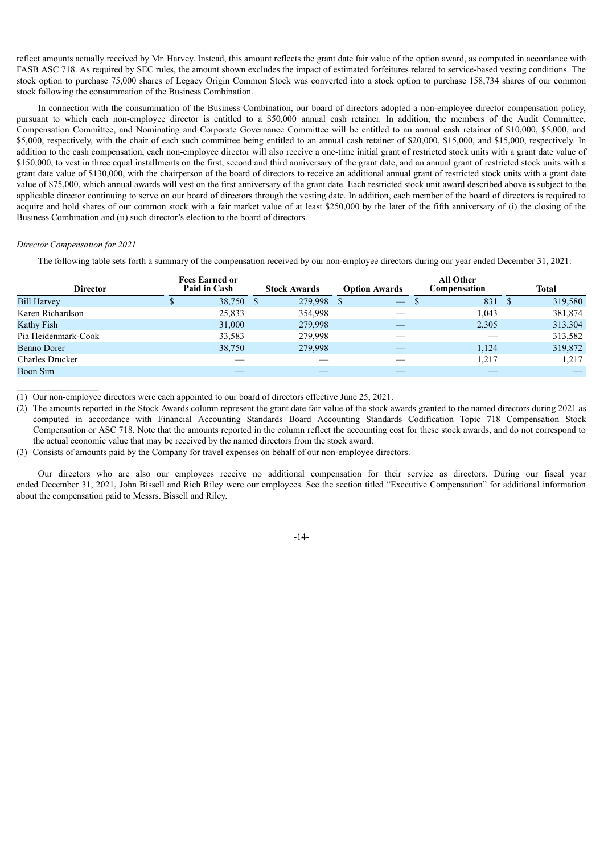reflect amounts actually received by Mr. Harvey. Instead, this amount reflects the grant date fair value of the option award, as computed in accordance with FASB ASC 718. As required by SEC rules, the amount shown excludes the impact of estimated forfeitures related to service-based vesting conditions. The stock option to purchase 75,000 shares of Legacy Origin Common Stock was converted into a stock option to purchase 158,734 shares of our common stock following the consummation of the Business Combination.

In connection with the consummation of the Business Combination, our board of directors adopted a non-employee director compensation policy, pursuant to which each non-employee director is entitled to a \$50,000 annual cash retainer. In addition, the members of the Audit Committee, Compensation Committee, and Nominating and Corporate Governance Committee will be entitled to an annual cash retainer of \$10,000, \$5,000, and \$5,000, respectively, with the chair of each such committee being entitled to an annual cash retainer of \$20,000, \$15,000, and \$15,000, respectively. In addition to the cash compensation, each non-employee director will also receive a one-time initial grant of restricted stock units with a grant date value of \$150,000, to vest in three equal installments on the first, second and third anniversary of the grant date, and an annual grant of restricted stock units with a grant date value of \$130,000, with the chairperson of the board of directors to receive an additional annual grant of restricted stock units with a grant date value of \$75,000, which annual awards will vest on the first anniversary of the grant date. Each restricted stock unit award described above is subject to the applicable director continuing to serve on our board of directors through the vesting date. In addition, each member of the board of directors is required to acquire and hold shares of our common stock with a fair market value of at least \$250,000 by the later of the fifth anniversary of (i) the closing of the Business Combination and (ii) such director's election to the board of directors.

# *Director Compensation for 2021*

The following table sets forth a summary of the compensation received by our non-employee directors during our year ended December 31, 2021:

|                        | <b>Fees Earned or</b> |        |     |                     |                      | <b>All Other</b> |              |
|------------------------|-----------------------|--------|-----|---------------------|----------------------|------------------|--------------|
| <b>Director</b>        | Paid in Cash          |        |     | <b>Stock Awards</b> | <b>Option Awards</b> | Compensation     | <b>Total</b> |
| <b>Bill Harvey</b>     |                       | 38,750 | - S | 279,998             | $\qquad \qquad -$    | 831              | 319,580      |
| Karen Richardson       |                       | 25,833 |     | 354,998             |                      | 1.043            | 381,874      |
| Kathy Fish             |                       | 31,000 |     | 279,998             |                      | 2,305            | 313,304      |
| Pia Heidenmark-Cook    |                       | 33,583 |     | 279.998             |                      |                  | 313,582      |
| Benno Dorer            |                       | 38,750 |     | 279,998             |                      | 1,124            | 319,872      |
| <b>Charles Drucker</b> |                       |        |     |                     |                      | 1,217            | 1,217        |
| Boon Sim               |                       |        |     |                     |                      |                  |              |

(1) Our non-employee directors were each appointed to our board of directors effective June 25, 2021.

(2) The amounts reported in the Stock Awards column represent the grant date fair value of the stock awards granted to the named directors during 2021 as computed in accordance with Financial Accounting Standards Board Accounting Standards Codification Topic 718 Compensation Stock Compensation or ASC 718. Note that the amounts reported in the column reflect the accounting cost for these stock awards, and do not correspond to the actual economic value that may be received by the named directors from the stock award.

(3) Consists of amounts paid by the Company for travel expenses on behalf of our non-employee directors.

<span id="page-16-0"></span>Our directors who are also our employees receive no additional compensation for their service as directors. During our fiscal year ended December 31, 2021, John Bissell and Rich Riley were our employees. See the section titled "Executive Compensation" for additional information about the compensation paid to Messrs. Bissell and Riley.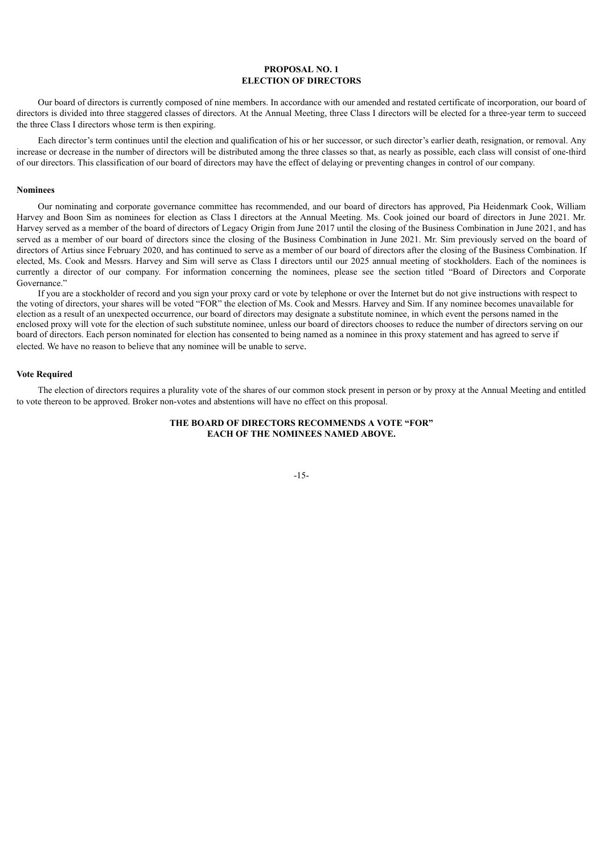# **PROPOSAL NO. 1 ELECTION OF DIRECTORS**

Our board of directors is currently composed of nine members. In accordance with our amended and restated certificate of incorporation, our board of directors is divided into three staggered classes of directors. At the Annual Meeting, three Class I directors will be elected for a three-year term to succeed the three Class I directors whose term is then expiring.

Each director's term continues until the election and qualification of his or her successor, or such director's earlier death, resignation, or removal. Any increase or decrease in the number of directors will be distributed among the three classes so that, as nearly as possible, each class will consist of one-third of our directors. This classification of our board of directors may have the effect of delaying or preventing changes in control of our company.

#### <span id="page-17-0"></span>**Nominees**

Our nominating and corporate governance committee has recommended, and our board of directors has approved, Pia Heidenmark Cook, William Harvey and Boon Sim as nominees for election as Class I directors at the Annual Meeting. Ms. Cook joined our board of directors in June 2021. Mr. Harvey served as a member of the board of directors of Legacy Origin from June 2017 until the closing of the Business Combination in June 2021, and has served as a member of our board of directors since the closing of the Business Combination in June 2021. Mr. Sim previously served on the board of directors of Artius since February 2020, and has continued to serve as a member of our board of directors after the closing of the Business Combination. If elected, Ms. Cook and Messrs. Harvey and Sim will serve as Class I directors until our 2025 annual meeting of stockholders. Each of the nominees is currently a director of our company. For information concerning the nominees, please see the section titled "Board of Directors and Corporate Governance."

If you are a stockholder of record and you sign your proxy card or vote by telephone or over the Internet but do not give instructions with respect to the voting of directors, your shares will be voted "FOR" the election of Ms. Cook and Messrs. Harvey and Sim. If any nominee becomes unavailable for election as a result of an unexpected occurrence, our board of directors may designate a substitute nominee, in which event the persons named in the enclosed proxy will vote for the election of such substitute nominee, unless our board of directors chooses to reduce the number of directors serving on our board of directors. Each person nominated for election has consented to being named as a nominee in this proxy statement and has agreed to serve if elected. We have no reason to believe that any nominee will be unable to serve.

# <span id="page-17-1"></span>**Vote Required**

<span id="page-17-2"></span>The election of directors requires a plurality vote of the shares of our common stock present in person or by proxy at the Annual Meeting and entitled to vote thereon to be approved. Broker non-votes and abstentions will have no effect on this proposal.

# **THE BOARD OF DIRECTORS RECOMMENDS A VOTE "FOR" EACH OF THE NOMINEES NAMED ABOVE.**

-15-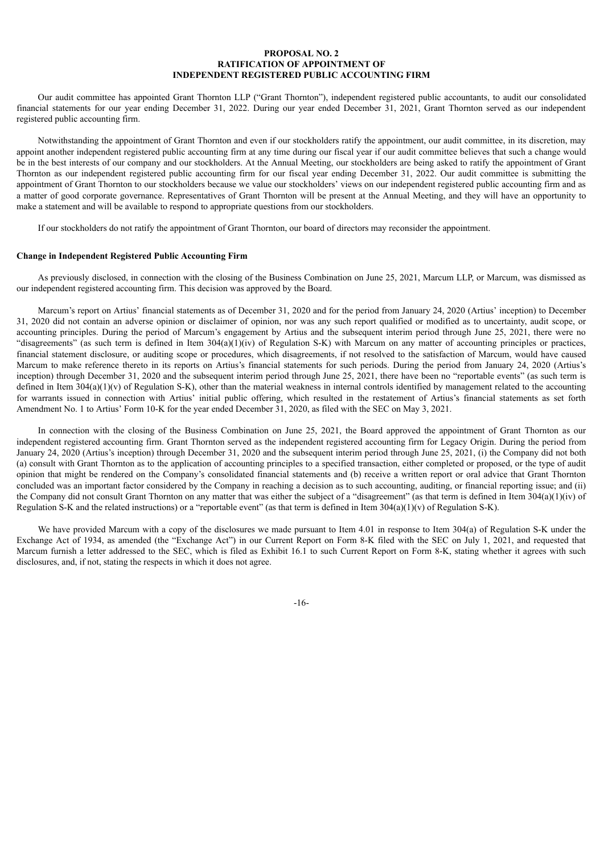# **PROPOSAL NO. 2 RATIFICATION OF APPOINTMENT OF INDEPENDENT REGISTERED PUBLIC ACCOUNTING FIRM**

Our audit committee has appointed Grant Thornton LLP ("Grant Thornton"), independent registered public accountants, to audit our consolidated financial statements for our year ending December 31, 2022. During our year ended December 31, 2021, Grant Thornton served as our independent registered public accounting firm.

Notwithstanding the appointment of Grant Thornton and even if our stockholders ratify the appointment, our audit committee, in its discretion, may appoint another independent registered public accounting firm at any time during our fiscal year if our audit committee believes that such a change would be in the best interests of our company and our stockholders. At the Annual Meeting, our stockholders are being asked to ratify the appointment of Grant Thornton as our independent registered public accounting firm for our fiscal year ending December 31, 2022. Our audit committee is submitting the appointment of Grant Thornton to our stockholders because we value our stockholders' views on our independent registered public accounting firm and as a matter of good corporate governance. Representatives of Grant Thornton will be present at the Annual Meeting, and they will have an opportunity to make a statement and will be available to respond to appropriate questions from our stockholders.

If our stockholders do not ratify the appointment of Grant Thornton, our board of directors may reconsider the appointment.

#### **Change in Independent Registered Public Accounting Firm**

As previously disclosed, in connection with the closing of the Business Combination on June 25, 2021, Marcum LLP, or Marcum, was dismissed as our independent registered accounting firm. This decision was approved by the Board.

Marcum's report on Artius' financial statements as of December 31, 2020 and for the period from January 24, 2020 (Artius' inception) to December 31, 2020 did not contain an adverse opinion or disclaimer of opinion, nor was any such report qualified or modified as to uncertainty, audit scope, or accounting principles. During the period of Marcum's engagement by Artius and the subsequent interim period through June 25, 2021, there were no "disagreements" (as such term is defined in Item 304(a)(1)(iv) of Regulation S-K) with Marcum on any matter of accounting principles or practices, financial statement disclosure, or auditing scope or procedures, which disagreements, if not resolved to the satisfaction of Marcum, would have caused Marcum to make reference thereto in its reports on Artius's financial statements for such periods. During the period from January 24, 2020 (Artius's inception) through December 31, 2020 and the subsequent interim period through June 25, 2021, there have been no "reportable events" (as such term is defined in Item  $304(a)(1)(v)$  of Regulation S-K), other than the material weakness in internal controls identified by management related to the accounting for warrants issued in connection with Artius' initial public offering, which resulted in the restatement of Artius's financial statements as set forth Amendment No. 1 to Artius' Form 10-K for the year ended December 31, 2020, as filed with the SEC on May 3, 2021.

In connection with the closing of the Business Combination on June 25, 2021, the Board approved the appointment of Grant Thornton as our independent registered accounting firm. Grant Thornton served as the independent registered accounting firm for Legacy Origin. During the period from January 24, 2020 (Artius's inception) through December 31, 2020 and the subsequent interim period through June 25, 2021, (i) the Company did not both (a) consult with Grant Thornton as to the application of accounting principles to a specified transaction, either completed or proposed, or the type of audit opinion that might be rendered on the Company's consolidated financial statements and (b) receive a written report or oral advice that Grant Thornton concluded was an important factor considered by the Company in reaching a decision as to such accounting, auditing, or financial reporting issue; and (ii) the Company did not consult Grant Thornton on any matter that was either the subject of a "disagreement" (as that term is defined in Item 304(a)(1)(iv) of Regulation S-K and the related instructions) or a "reportable event" (as that term is defined in Item 304(a)(1)(v) of Regulation S-K).

<span id="page-18-0"></span>We have provided Marcum with a copy of the disclosures we made pursuant to Item 4.01 in response to Item 304(a) of Regulation S-K under the Exchange Act of 1934, as amended (the "Exchange Act") in our Current Report on Form 8-K filed with the SEC on July 1, 2021, and requested that Marcum furnish a letter addressed to the SEC, which is filed as Exhibit 16.1 to such Current Report on Form 8-K, stating whether it agrees with such disclosures, and, if not, stating the respects in which it does not agree.

-16-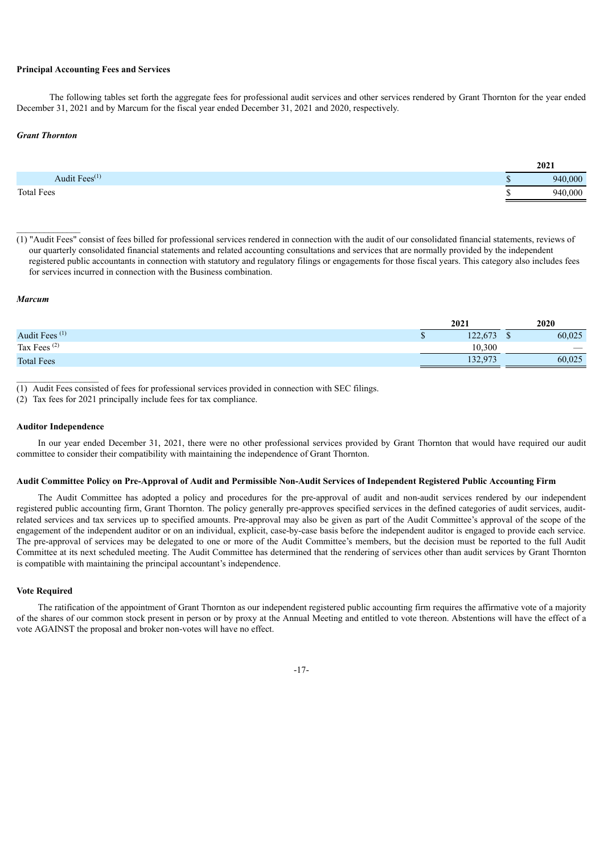#### **Principal Accounting Fees and Services**

The following tables set forth the aggregate fees for professional audit services and other services rendered by Grant Thornton for the year ended December 31, 2021 and by Marcum for the fiscal year ended December 31, 2021 and 2020, respectively.

#### *Grant Thornton*

|                                  | 2021    |
|----------------------------------|---------|
| (1)<br>Audit Fees <sup>(1)</sup> | 940,000 |
| <b>Total Fees</b>                | 940.000 |

 $(1)$  "Audit Fees" consist of fees billed for professional services rendered in connection with the audit of our consolidated financial statements, reviews of our quarterly consolidated financial statements and related accounting consultations and services that are normally provided by the independent registered public accountants in connection with statutory and regulatory filings or engagements for those fiscal years. This category also includes fees for services incurred in connection with the Business combination.

#### *Marcum*

|                           | 2021    | 2020   |
|---------------------------|---------|--------|
| Audit Fees <sup>(1)</sup> | 122.673 | 60,025 |
| Tax Fees $(2)$            | 10.300  |        |
| <b>Total Fees</b>         | 132,973 | 60,025 |

(1) Audit Fees consisted of fees for professional services provided in connection with SEC filings.

<span id="page-19-0"></span>(2) Tax fees for 2021 principally include fees for tax compliance.

#### **Auditor Independence**

In our year ended December 31, 2021, there were no other professional services provided by Grant Thornton that would have required our audit committee to consider their compatibility with maintaining the independence of Grant Thornton.

# <span id="page-19-1"></span>Audit Committee Policy on Pre-Approval of Audit and Permissible Non-Audit Services of Independent Registered Public Accounting Firm

The Audit Committee has adopted a policy and procedures for the pre-approval of audit and non-audit services rendered by our independent registered public accounting firm, Grant Thornton. The policy generally pre-approves specified services in the defined categories of audit services, auditrelated services and tax services up to specified amounts. Pre-approval may also be given as part of the Audit Committee's approval of the scope of the engagement of the independent auditor or on an individual, explicit, case-by-case basis before the independent auditor is engaged to provide each service. The pre-approval of services may be delegated to one or more of the Audit Committee's members, but the decision must be reported to the full Audit Committee at its next scheduled meeting. The Audit Committee has determined that the rendering of services other than audit services by Grant Thornton is compatible with maintaining the principal accountant's independence.

# <span id="page-19-2"></span>**Vote Required**

The ratification of the appointment of Grant Thornton as our independent registered public accounting firm requires the affirmative vote of a majority of the shares of our common stock present in person or by proxy at the Annual Meeting and entitled to vote thereon. Abstentions will have the effect of a vote AGAINST the proposal and broker non-votes will have no effect.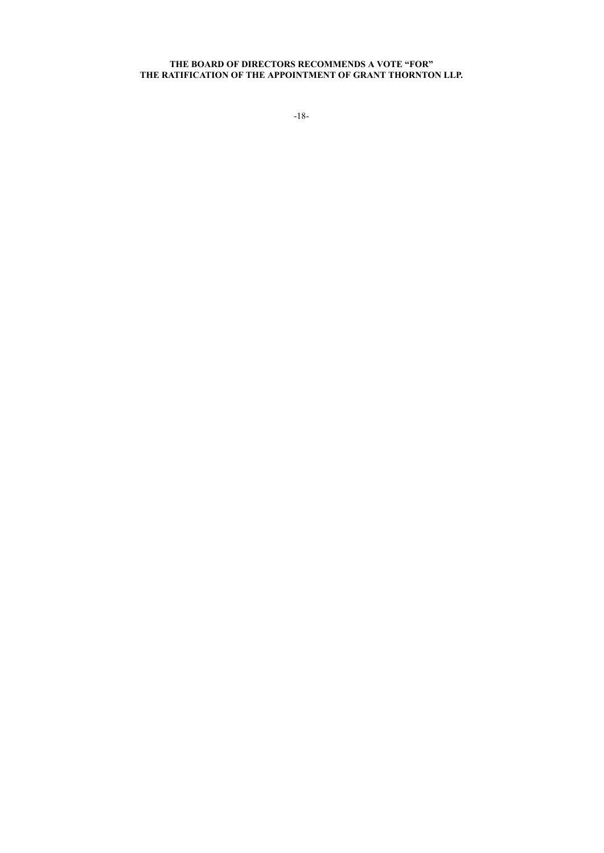#### <span id="page-20-0"></span>**THE BOARD OF DIRECTORS RECOMMENDS A VOTE "FOR" THE RATIFICATION OF THE APPOINTMENT OF GRANT THORNTON LLP.**

-18-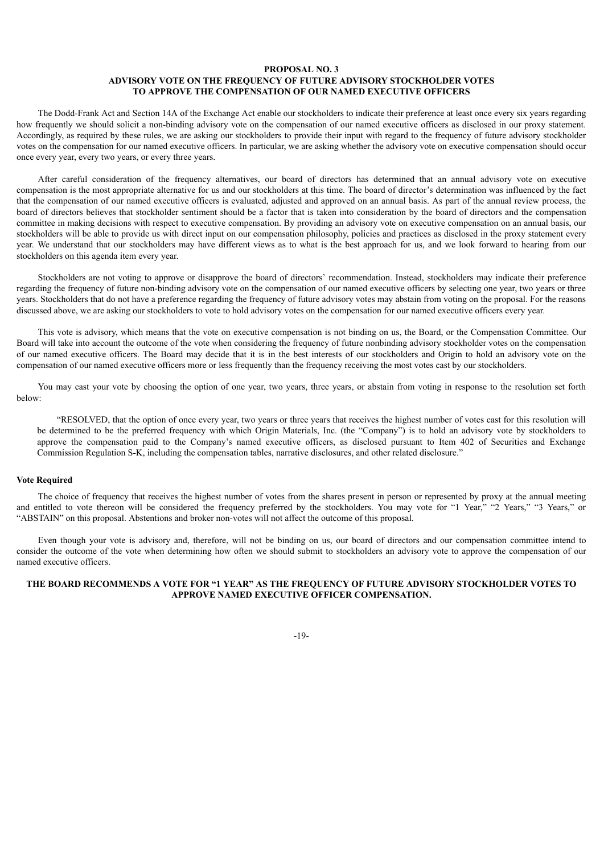# **PROPOSAL NO. 3 ADVISORY VOTE ON THE FREQUENCY OF FUTURE ADVISORY STOCKHOLDER VOTES TO APPROVE THE COMPENSATION OF OUR NAMED EXECUTIVE OFFICERS**

The Dodd-Frank Act and Section 14A of the Exchange Act enable our stockholders to indicate their preference at least once every six years regarding how frequently we should solicit a non-binding advisory vote on the compensation of our named executive officers as disclosed in our proxy statement. Accordingly, as required by these rules, we are asking our stockholders to provide their input with regard to the frequency of future advisory stockholder votes on the compensation for our named executive officers. In particular, we are asking whether the advisory vote on executive compensation should occur once every year, every two years, or every three years.

After careful consideration of the frequency alternatives, our board of directors has determined that an annual advisory vote on executive compensation is the most appropriate alternative for us and our stockholders at this time. The board of director's determination was influenced by the fact that the compensation of our named executive officers is evaluated, adjusted and approved on an annual basis. As part of the annual review process, the board of directors believes that stockholder sentiment should be a factor that is taken into consideration by the board of directors and the compensation committee in making decisions with respect to executive compensation. By providing an advisory vote on executive compensation on an annual basis, our stockholders will be able to provide us with direct input on our compensation philosophy, policies and practices as disclosed in the proxy statement every year. We understand that our stockholders may have different views as to what is the best approach for us, and we look forward to hearing from our stockholders on this agenda item every year.

Stockholders are not voting to approve or disapprove the board of directors' recommendation. Instead, stockholders may indicate their preference regarding the frequency of future non-binding advisory vote on the compensation of our named executive officers by selecting one year, two years or three years. Stockholders that do not have a preference regarding the frequency of future advisory votes may abstain from voting on the proposal. For the reasons discussed above, we are asking our stockholders to vote to hold advisory votes on the compensation for our named executive officers every year.

This vote is advisory, which means that the vote on executive compensation is not binding on us, the Board, or the Compensation Committee. Our Board will take into account the outcome of the vote when considering the frequency of future nonbinding advisory stockholder votes on the compensation of our named executive officers. The Board may decide that it is in the best interests of our stockholders and Origin to hold an advisory vote on the compensation of our named executive officers more or less frequently than the frequency receiving the most votes cast by our stockholders.

You may cast your vote by choosing the option of one year, two years, three years, or abstain from voting in response to the resolution set forth below:

"RESOLVED, that the option of once every year, two years or three years that receives the highest number of votes cast for this resolution will be determined to be the preferred frequency with which Origin Materials, Inc. (the "Company") is to hold an advisory vote by stockholders to approve the compensation paid to the Company's named executive officers, as disclosed pursuant to Item 402 of Securities and Exchange Commission Regulation S-K, including the compensation tables, narrative disclosures, and other related disclosure."

#### <span id="page-21-0"></span>**Vote Required**

The choice of frequency that receives the highest number of votes from the shares present in person or represented by proxy at the annual meeting and entitled to vote thereon will be considered the frequency preferred by the stockholders. You may vote for "1 Year," "2 Years," "3 Years," or "ABSTAIN" on this proposal. Abstentions and broker non-votes will not affect the outcome of this proposal.

Even though your vote is advisory and, therefore, will not be binding on us, our board of directors and our compensation committee intend to consider the outcome of the vote when determining how often we should submit to stockholders an advisory vote to approve the compensation of our named executive officers.

# <span id="page-21-1"></span>**THE BOARD RECOMMENDS A VOTE FOR "1 YEAR" AS THE FREQUENCY OF FUTURE ADVISORY STOCKHOLDER VOTES TO APPROVE NAMED EXECUTIVE OFFICER COMPENSATION.**

-19-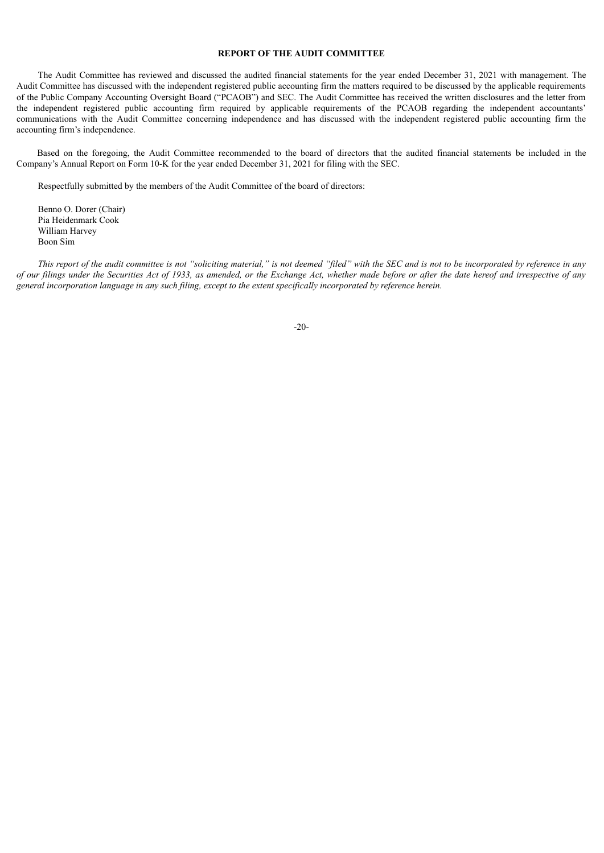# **REPORT OF THE AUDIT COMMITTEE**

The Audit Committee has reviewed and discussed the audited financial statements for the year ended December 31, 2021 with management. The Audit Committee has discussed with the independent registered public accounting firm the matters required to be discussed by the applicable requirements of the Public Company Accounting Oversight Board ("PCAOB") and SEC. The Audit Committee has received the written disclosures and the letter from the independent registered public accounting firm required by applicable requirements of the PCAOB regarding the independent accountants' communications with the Audit Committee concerning independence and has discussed with the independent registered public accounting firm the accounting firm's independence.

Based on the foregoing, the Audit Committee recommended to the board of directors that the audited financial statements be included in the Company's Annual Report on Form 10-K for the year ended December 31, 2021 for filing with the SEC.

Respectfully submitted by the members of the Audit Committee of the board of directors:

Benno O. Dorer (Chair) Pia Heidenmark Cook William Harvey Boon Sim

<span id="page-22-0"></span>This report of the audit committee is not "soliciting material," is not deemed "filed" with the SEC and is not to be incorporated by reference in any of our filings under the Securities Act of 1933, as amended, or the Exchange Act, whether made before or after the date hereof and irrespective of any general incorporation language in any such filing, except to the extent specifically incorporated by reference herein.

-20-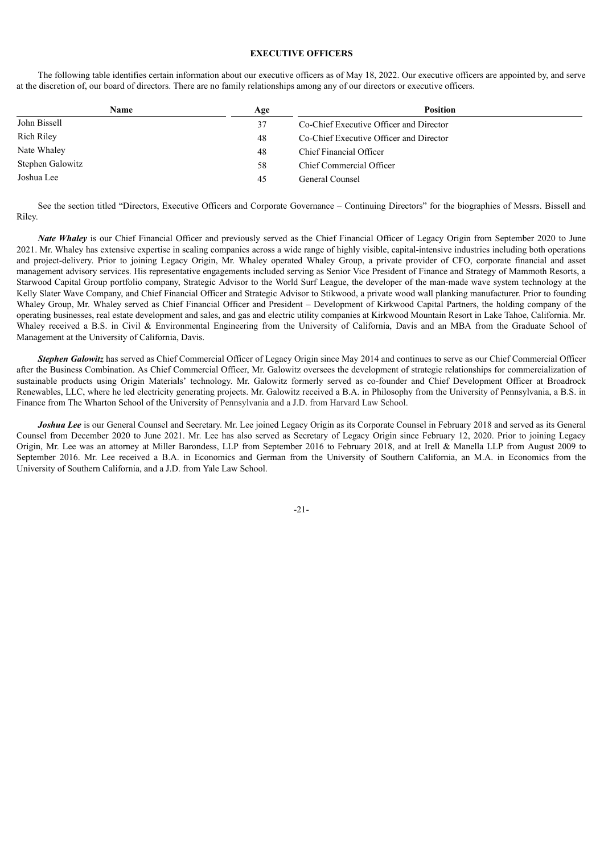# **EXECUTIVE OFFICERS**

The following table identifies certain information about our executive officers as of May 18, 2022. Our executive officers are appointed by, and serve at the discretion of, our board of directors. There are no family relationships among any of our directors or executive officers.

| Name<br>Age            | <b>Position</b>                         |
|------------------------|-----------------------------------------|
| John Bissell<br>37     | Co-Chief Executive Officer and Director |
| Rich Riley<br>48       | Co-Chief Executive Officer and Director |
| Nate Whaley<br>48      | Chief Financial Officer                 |
| Stephen Galowitz<br>58 | Chief Commercial Officer                |
| Joshua Lee<br>45       | General Counsel                         |

See the section titled "Directors, Executive Officers and Corporate Governance – Continuing Directors" for the biographies of Messrs. Bissell and Riley.

*Nate Whaley* is our Chief Financial Officer and previously served as the Chief Financial Officer of Legacy Origin from September 2020 to June 2021. Mr. Whaley has extensive expertise in scaling companies across a wide range of highly visible, capital-intensive industries including both operations and project-delivery. Prior to joining Legacy Origin, Mr. Whaley operated Whaley Group, a private provider of CFO, corporate financial and asset management advisory services. His representative engagements included serving as Senior Vice President of Finance and Strategy of Mammoth Resorts, a Starwood Capital Group portfolio company, Strategic Advisor to the World Surf League, the developer of the man-made wave system technology at the Kelly Slater Wave Company, and Chief Financial Officer and Strategic Advisor to Stikwood, a private wood wall planking manufacturer. Prior to founding Whaley Group, Mr. Whaley served as Chief Financial Officer and President – Development of Kirkwood Capital Partners, the holding company of the operating businesses, real estate development and sales, and gas and electric utility companies at Kirkwood Mountain Resort in Lake Tahoe, California. Mr. Whaley received a B.S. in Civil & Environmental Engineering from the University of California, Davis and an MBA from the Graduate School of Management at the University of California, Davis.

*Stephen Galowitz* has served as Chief Commercial Officer of Legacy Origin since May 2014 and continues to serve as our Chief Commercial Officer after the Business Combination. As Chief Commercial Officer, Mr. Galowitz oversees the development of strategic relationships for commercialization of sustainable products using Origin Materials' technology. Mr. Galowitz formerly served as co-founder and Chief Development Officer at Broadrock Renewables, LLC, where he led electricity generating projects. Mr. Galowitz received a B.A. in Philosophy from the University of Pennsylvania, a B.S. in Finance from The Wharton School of the University of Pennsylvania and a J.D. from Harvard Law School.

<span id="page-23-0"></span>*Joshua Lee* is our General Counsel and Secretary. Mr. Lee joined Legacy Origin as its Corporate Counsel in February 2018 and served as its General Counsel from December 2020 to June 2021. Mr. Lee has also served as Secretary of Legacy Origin since February 12, 2020. Prior to joining Legacy Origin, Mr. Lee was an attorney at Miller Barondess, LLP from September 2016 to February 2018, and at Irell & Manella LLP from August 2009 to September 2016. Mr. Lee received a B.A. in Economics and German from the University of Southern California, an M.A. in Economics from the University of Southern California, and a J.D. from Yale Law School.

-21-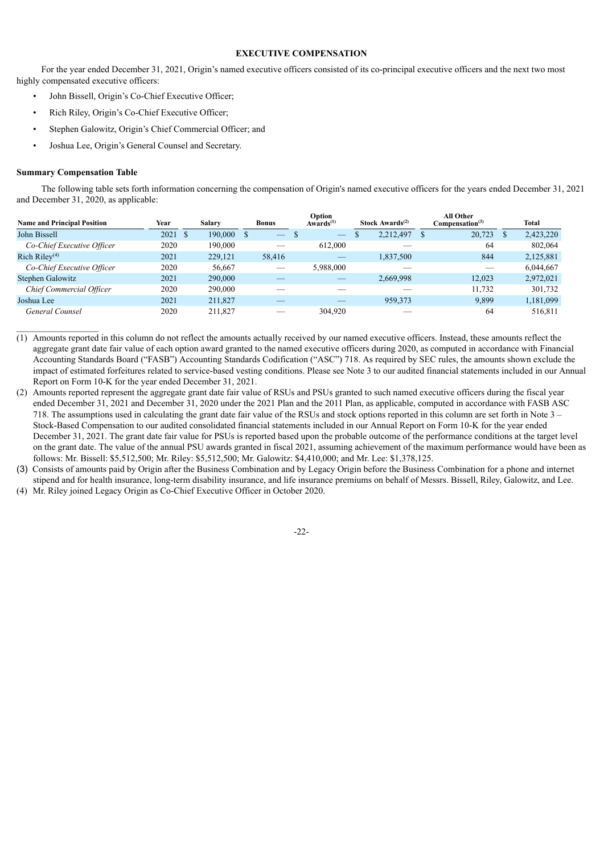# **EXECUTIVE COMPENSATION**

<span id="page-24-0"></span>For the year ended December 31, 2021, Origin's named executive officers consisted of its co-principal executive officers and the next two most highly compensated executive officers:

- John Bissell, Origin's Co-Chief Executive Officer;
- Rich Riley, Origin's Co-Chief Executive Officer;
- Stephen Galowitz, Origin's Chief Commercial Officer; and
- Joshua Lee, Origin's General Counsel and Secretary.

#### **Summary Compensation Table**

 $\mathcal{L}_\text{max}$ 

The following table sets forth information concerning the compensation of Origin's named executive officers for the years ended December 31, 2021 and December 31, 2020, as applicable:

| <b>Name and Principal Position</b> | Year  | <b>Salary</b> |         | <b>Bonus</b> |        | Option<br>Awards $(1)$   |   | Stock Awards $(2)$ | All Other<br>Compenation <sup>(3)</sup> | Total     |
|------------------------------------|-------|---------------|---------|--------------|--------|--------------------------|---|--------------------|-----------------------------------------|-----------|
| John Bissell                       | 2021S |               | 190,000 |              |        | $\overline{\phantom{m}}$ | ъ | 2,212,497          | 20,723                                  | 2,423,220 |
| Co-Chief Executive Officer         | 2020  |               | 190.000 |              |        | 612,000                  |   |                    | 64                                      | 802.064   |
| Rich Riley $(4)$                   | 2021  |               | 229,121 |              | 58,416 |                          |   | 1,837,500          | 844                                     | 2,125,881 |
| Co-Chief Executive Officer         | 2020  |               | 56.667  |              |        | 5,988,000                |   |                    |                                         | 6,044,667 |
| Stephen Galowitz                   | 2021  |               | 290,000 |              |        |                          |   | 2,669,998          | 12.023                                  | 2,972,021 |
| Chief Commercial Officer           | 2020  |               | 290,000 |              |        |                          |   |                    | 11,732                                  | 301,732   |
| Joshua Lee                         | 2021  |               | 211,827 |              |        |                          |   | 959,373            | 9,899                                   | 1,181,099 |
| General Counsel                    | 2020  |               | 211,827 |              |        | 304,920                  |   |                    | 64                                      | 516,811   |

(1) Amounts reported in this column do not reflect the amounts actually received by our named executive officers. Instead, these amounts reflect the aggregate grant date fair value of each option award granted to the named executive officers during 2020, as computed in accordance with Financial Accounting Standards Board ("FASB") Accounting Standards Codification ("ASC") 718. As required by SEC rules, the amounts shown exclude the impact of estimated forfeitures related to service-based vesting conditions. Please see Note 3 to our audited financial statements included in our Annual Report on Form 10-K for the year ended December 31, 2021.

(2) Amounts reported represent the aggregate grant date fair value of RSUs and PSUs granted to such named executive officers during the fiscal year ended December 31, 2021 and December 31, 2020 under the 2021 Plan and the 2011 Plan, as applicable, computed in accordance with FASB ASC 718. The assumptions used in calculating the grant date fair value of the RSUs and stock options reported in this column are set forth in Note 3 – Stock-Based Compensation to our audited consolidated financial statements included in our Annual Report on Form 10-K for the year ended December 31, 2021. The grant date fair value for PSUs is reported based upon the probable outcome of the performance conditions at the target level on the grant date. The value of the annual PSU awards granted in fiscal 2021, assuming achievement of the maximum performance would have been as follows: Mr. Bissell: \$5,512,500; Mr. Riley: \$5,512,500; Mr. Galowitz: \$4,410,000; and Mr. Lee: \$1,378,125.

<span id="page-24-1"></span>(3) Consists of amounts paid by Origin after the Business Combination and by Legacy Origin before the Business Combination for a phone and internet stipend and for health insurance, long-term disability insurance, and life insurance premiums on behalf of Messrs. Bissell, Riley, Galowitz, and Lee. (4) Mr. Riley joined Legacy Origin as Co-Chief Executive Officer in October 2020.

-22-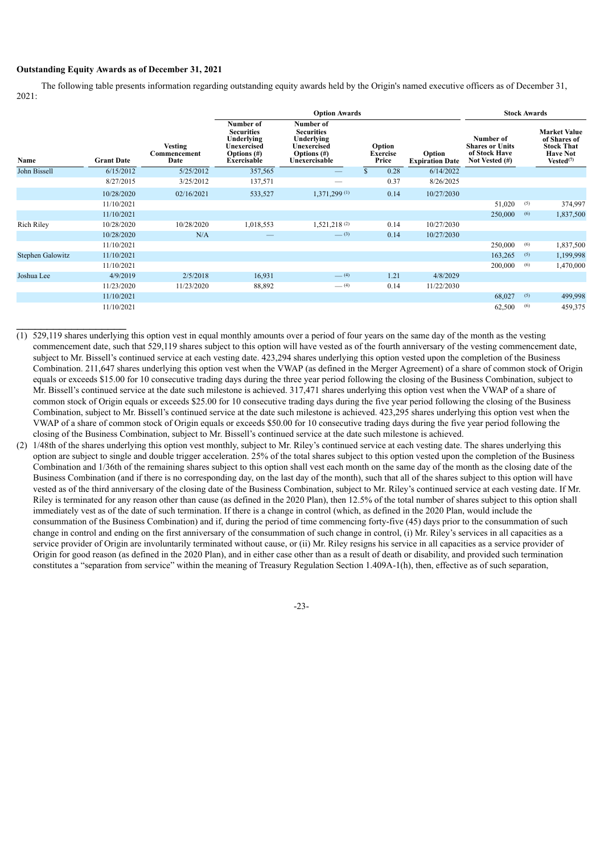# **Outstanding Equity Awards as of December 31, 2021**

 $\_$ 

The following table presents information regarding outstanding equity awards held by the Origin's named executive officers as of December 31, 2021:

|                         |                   |                                        |                                                                                                     |                                                                                                | <b>Stock Awards</b>                |                                  |                                                                        |     |                                                                                                      |
|-------------------------|-------------------|----------------------------------------|-----------------------------------------------------------------------------------------------------|------------------------------------------------------------------------------------------------|------------------------------------|----------------------------------|------------------------------------------------------------------------|-----|------------------------------------------------------------------------------------------------------|
| Name                    | <b>Grant Date</b> | <b>Vesting</b><br>Commencement<br>Date | Number of<br><b>Securities</b><br>Underlying<br><b>Unexercised</b><br>Options $(\#)$<br>Exercisable | Number of<br><b>Securities</b><br>Underlying<br>Unexercised<br>Options $(\#)$<br>Unexercisable | Option<br><b>Exercise</b><br>Price | Option<br><b>Expiration Date</b> | Number of<br><b>Shares or Units</b><br>of Stock Have<br>Not Vested (#) |     | <b>Market Value</b><br>of Shares of<br><b>Stock That</b><br><b>Have Not</b><br>Vested <sup>(7)</sup> |
| John Bissell            | 6/15/2012         | 5/25/2012                              | 357,565                                                                                             | $\qquad \qquad -$                                                                              | 0.28                               | 6/14/2022                        |                                                                        |     |                                                                                                      |
|                         | 8/27/2015         | 3/25/2012                              | 137,571                                                                                             |                                                                                                | 0.37                               | 8/26/2025                        |                                                                        |     |                                                                                                      |
|                         | 10/28/2020        | 02/16/2021                             | 533,527                                                                                             | 1,371,299 (1)                                                                                  | 0.14                               | 10/27/2030                       |                                                                        |     |                                                                                                      |
|                         | 11/10/2021        |                                        |                                                                                                     |                                                                                                |                                    |                                  | 51,020                                                                 | (5) | 374,997                                                                                              |
|                         | 11/10/2021        |                                        |                                                                                                     |                                                                                                |                                    |                                  | 250,000                                                                | (6) | 1,837,500                                                                                            |
| <b>Rich Riley</b>       | 10/28/2020        | 10/28/2020                             | 1,018,553                                                                                           | 1,521,218 <sup>(2)</sup>                                                                       | 0.14                               | 10/27/2030                       |                                                                        |     |                                                                                                      |
|                         | 10/28/2020        | N/A                                    |                                                                                                     | $-^{(3)}$                                                                                      | 0.14                               | 10/27/2030                       |                                                                        |     |                                                                                                      |
|                         | 11/10/2021        |                                        |                                                                                                     |                                                                                                |                                    |                                  | 250,000                                                                | (6) | 1,837,500                                                                                            |
| <b>Stephen Galowitz</b> | 11/10/2021        |                                        |                                                                                                     |                                                                                                |                                    |                                  | 163,265                                                                | (5) | 1,199,998                                                                                            |
|                         | 11/10/2021        |                                        |                                                                                                     |                                                                                                |                                    |                                  | 200,000                                                                | (6) | 1,470,000                                                                                            |
| Joshua Lee              | 4/9/2019          | 2/5/2018                               | 16,931                                                                                              | $-$ (4)                                                                                        | 1.21                               | 4/8/2029                         |                                                                        |     |                                                                                                      |
|                         | 11/23/2020        | 11/23/2020                             | 88,892                                                                                              | $-$ (4)                                                                                        | 0.14                               | 11/22/2030                       |                                                                        |     |                                                                                                      |
|                         | 11/10/2021        |                                        |                                                                                                     |                                                                                                |                                    |                                  | 68,027                                                                 | (5) | 499,998                                                                                              |
|                         | 11/10/2021        |                                        |                                                                                                     |                                                                                                |                                    |                                  | 62,500                                                                 | (6) | 459,375                                                                                              |

- (1) 529,119 shares underlying this option vest in equal monthly amounts over a period of four years on the same day of the month as the vesting commencement date, such that 529,119 shares subject to this option will have vested as of the fourth anniversary of the vesting commencement date, subject to Mr. Bissell's continued service at each vesting date. 423,294 shares underlying this option vested upon the completion of the Business Combination. 211,647 shares underlying this option vest when the VWAP (as defined in the Merger Agreement) of a share of common stock of Origin equals or exceeds \$15.00 for 10 consecutive trading days during the three year period following the closing of the Business Combination, subject to Mr. Bissell's continued service at the date such milestone is achieved. 317,471 shares underlying this option vest when the VWAP of a share of common stock of Origin equals or exceeds \$25.00 for 10 consecutive trading days during the five year period following the closing of the Business Combination, subject to Mr. Bissell's continued service at the date such milestone is achieved. 423,295 shares underlying this option vest when the VWAP of a share of common stock of Origin equals or exceeds \$50.00 for 10 consecutive trading days during the five year period following the closing of the Business Combination, subject to Mr. Bissell's continued service at the date such milestone is achieved.
- (2) 1/48th of the shares underlying this option vest monthly, subject to Mr. Riley's continued service at each vesting date. The shares underlying this option are subject to single and double trigger acceleration. 25% of the total shares subject to this option vested upon the completion of the Business Combination and 1/36th of the remaining shares subject to this option shall vest each month on the same day of the month as the closing date of the Business Combination (and if there is no corresponding day, on the last day of the month), such that all of the shares subject to this option will have vested as of the third anniversary of the closing date of the Business Combination, subject to Mr. Riley's continued service at each vesting date. If Mr. Riley is terminated for any reason other than cause (as defined in the 2020 Plan), then 12.5% of the total number of shares subject to this option shall immediately vest as of the date of such termination. If there is a change in control (which, as defined in the 2020 Plan, would include the consummation of the Business Combination) and if, during the period of time commencing forty-five (45) days prior to the consummation of such change in control and ending on the first anniversary of the consummation of such change in control, (i) Mr. Riley's services in all capacities as a service provider of Origin are involuntarily terminated without cause, or (ii) Mr. Riley resigns his service in all capacities as a service provider of Origin for good reason (as defined in the 2020 Plan), and in either case other than as a result of death or disability, and provided such termination constitutes a "separation from service" within the meaning of Treasury Regulation Section 1.409A-1(h), then, effective as of such separation,

-23-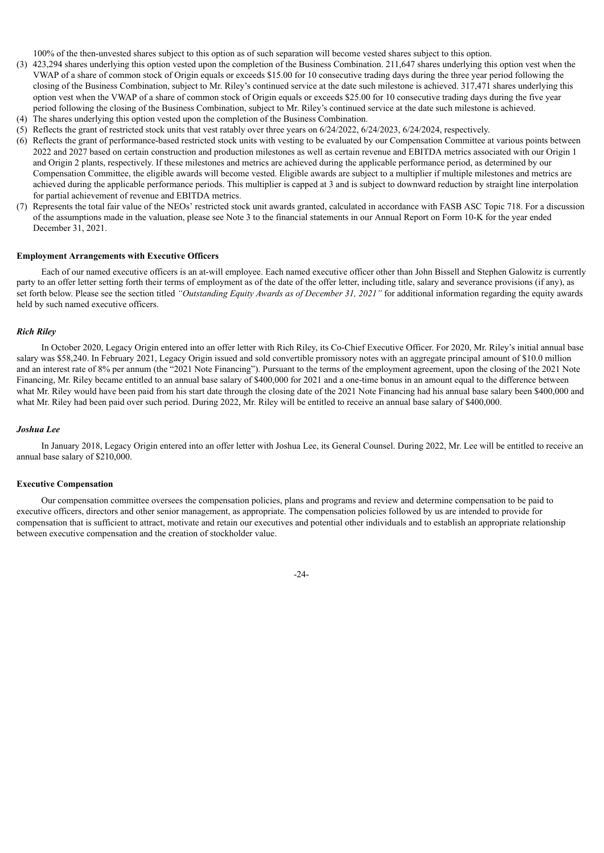100% of the then-unvested shares subject to this option as of such separation will become vested shares subject to this option.

- (3) 423,294 shares underlying this option vested upon the completion of the Business Combination. 211,647 shares underlying this option vest when the VWAP of a share of common stock of Origin equals or exceeds \$15.00 for 10 consecutive trading days during the three year period following the closing of the Business Combination, subject to Mr. Riley's continued service at the date such milestone is achieved. 317,471 shares underlying this option vest when the VWAP of a share of common stock of Origin equals or exceeds \$25.00 for 10 consecutive trading days during the five year period following the closing of the Business Combination, subject to Mr. Riley's continued service at the date such milestone is achieved.
- (4) The shares underlying this option vested upon the completion of the Business Combination.
- (5) Reflects the grant of restricted stock units that vest ratably over three years on 6/24/2022, 6/24/2023, 6/24/2024, respectively.
- (6) Reflects the grant of performance-based restricted stock units with vesting to be evaluated by our Compensation Committee at various points between 2022 and 2027 based on certain construction and production milestones as well as certain revenue and EBITDA metrics associated with our Origin 1 and Origin 2 plants, respectively. If these milestones and metrics are achieved during the applicable performance period, as determined by our Compensation Committee, the eligible awards will become vested. Eligible awards are subject to a multiplier if multiple milestones and metrics are achieved during the applicable performance periods. This multiplier is capped at 3 and is subject to downward reduction by straight line interpolation for partial achievement of revenue and EBITDA metrics.
- (7) Represents the total fair value of the NEOs' restricted stock unit awards granted, calculated in accordance with FASB ASC Topic 718. For a discussion of the assumptions made in the valuation, please see Note 3 to the financial statements in our Annual Report on Form 10-K for the year ended December 31, 2021.

#### <span id="page-26-0"></span>**Employment Arrangements with Executive Officers**

Each of our named executive officers is an at-will employee. Each named executive officer other than John Bissell and Stephen Galowitz is currently party to an offer letter setting forth their terms of employment as of the date of the offer letter, including title, salary and severance provisions (if any), as set forth below. Please see the section titled *"Outstanding Equity Awards as of December 31, 2021"* for additional information regarding the equity awards held by such named executive officers.

#### *Rich Riley*

In October 2020, Legacy Origin entered into an offer letter with Rich Riley, its Co-Chief Executive Officer. For 2020, Mr. Riley's initial annual base salary was \$58,240. In February 2021, Legacy Origin issued and sold convertible promissory notes with an aggregate principal amount of \$10.0 million and an interest rate of 8% per annum (the "2021 Note Financing"). Pursuant to the terms of the employment agreement, upon the closing of the 2021 Note Financing, Mr. Riley became entitled to an annual base salary of \$400,000 for 2021 and a one-time bonus in an amount equal to the difference between what Mr. Riley would have been paid from his start date through the closing date of the 2021 Note Financing had his annual base salary been \$400,000 and what Mr. Riley had been paid over such period. During 2022, Mr. Riley will be entitled to receive an annual base salary of \$400,000.

#### *Joshua Lee*

In January 2018, Legacy Origin entered into an offer letter with Joshua Lee, its General Counsel. During 2022, Mr. Lee will be entitled to receive an annual base salary of \$210,000.

# **Executive Compensation**

Our compensation committee oversees the compensation policies, plans and programs and review and determine compensation to be paid to executive officers, directors and other senior management, as appropriate. The compensation policies followed by us are intended to provide for compensation that is sufficient to attract, motivate and retain our executives and potential other individuals and to establish an appropriate relationship between executive compensation and the creation of stockholder value.

-24-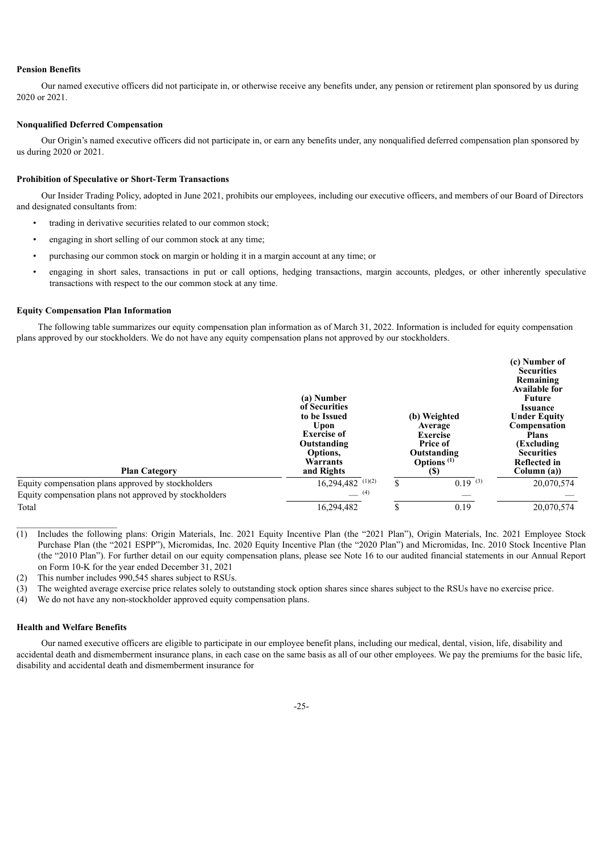#### **Pension Benefits**

Our named executive officers did not participate in, or otherwise receive any benefits under, any pension or retirement plan sponsored by us during 2020 or 2021.

#### **Nonqualified Deferred Compensation**

Our Origin's named executive officers did not participate in, or earn any benefits under, any nonqualified deferred compensation plan sponsored by us during 2020 or 2021.

# **Prohibition of Speculative or Short-Term Transactions**

Our Insider Trading Policy, adopted in June 2021, prohibits our employees, including our executive officers, and members of our Board of Directors and designated consultants from:

- trading in derivative securities related to our common stock;
- engaging in short selling of our common stock at any time;
- purchasing our common stock on margin or holding it in a margin account at any time; or
- engaging in short sales, transactions in put or call options, hedging transactions, margin accounts, pledges, or other inherently speculative transactions with respect to the our common stock at any time.

#### <span id="page-27-0"></span>**Equity Compensation Plan Information**

The following table summarizes our equity compensation plan information as of March 31, 2022. Information is included for equity compensation plans approved by our stockholders. We do not have any equity compensation plans not approved by our stockholders.

| <b>Plan Category</b>                                   | (a) Number<br>of Securities<br>to be Issued<br>Upon<br><b>Exercise of</b><br>Outstanding<br>Options.<br>Warrants<br>and Rights | (b) Weighted<br>Average<br><b>Exercise</b><br><b>Price of</b><br>Outstanding<br>Options <sup>(1)</sup><br><b>(\$)</b> | (c) Number of<br><b>Securities</b><br>Remaining<br><b>Available for</b><br><b>Future</b><br><i><b>Issuance</b></i><br><b>Under Equity</b><br><b>Compensation</b><br><b>Plans</b><br>(Excluding)<br><b>Securities</b><br>Reflected in<br>Column (a)) |
|--------------------------------------------------------|--------------------------------------------------------------------------------------------------------------------------------|-----------------------------------------------------------------------------------------------------------------------|-----------------------------------------------------------------------------------------------------------------------------------------------------------------------------------------------------------------------------------------------------|
| Equity compensation plans approved by stockholders     | $16,294,482$ <sup>(1)(2)</sup>                                                                                                 | \$<br>$0.19^{(3)}$                                                                                                    | 20,070,574                                                                                                                                                                                                                                          |
| Equity compensation plans not approved by stockholders | (4)                                                                                                                            |                                                                                                                       |                                                                                                                                                                                                                                                     |
| Total                                                  | 16,294,482                                                                                                                     | \$<br>0.19                                                                                                            | 20,070,574                                                                                                                                                                                                                                          |

(1) Includes the following plans: Origin Materials, Inc. 2021 Equity Incentive Plan (the "2021 Plan"), Origin Materials, Inc. 2021 Employee Stock Purchase Plan (the "2021 ESPP"), Micromidas, Inc. 2020 Equity Incentive Plan (the "2020 Plan") and Micromidas, Inc. 2010 Stock Incentive Plan (the "2010 Plan"). For further detail on our equity compensation plans, please see Note 16 to our audited financial statements in our Annual Report on Form 10-K for the year ended December 31, 2021

(2) This number includes 990,545 shares subject to RSUs.

- (3) The weighted average exercise price relates solely to outstanding stock option shares since shares subject to the RSUs have no exercise price.
- (4) We do not have any non-stockholder approved equity compensation plans.

# **Health and Welfare Benefits**

Our named executive officers are eligible to participate in our employee benefit plans, including our medical, dental, vision, life, disability and accidental death and dismemberment insurance plans, in each case on the same basis as all of our other employees. We pay the premiums for the basic life, disability and accidental death and dismemberment insurance for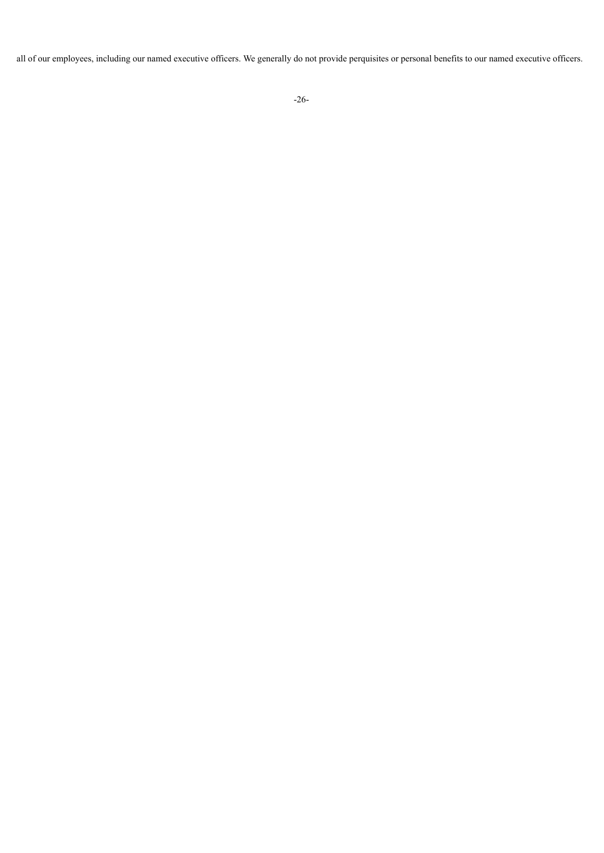<span id="page-28-0"></span>all of our employees, including our named executive officers. We generally do not provide perquisites or personal benefits to our named executive officers.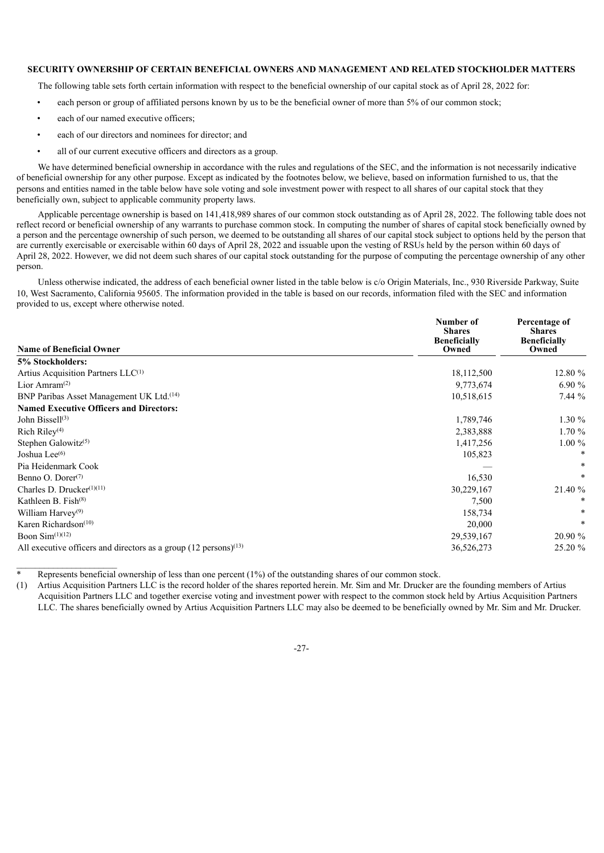# **SECURITY OWNERSHIP OF CERTAIN BENEFICIAL OWNERS AND MANAGEMENT AND RELATED STOCKHOLDER MATTERS**

The following table sets forth certain information with respect to the beneficial ownership of our capital stock as of April 28, 2022 for:

- each person or group of affiliated persons known by us to be the beneficial owner of more than 5% of our common stock;
- each of our named executive officers;
- each of our directors and nominees for director; and
- all of our current executive officers and directors as a group.

We have determined beneficial ownership in accordance with the rules and regulations of the SEC, and the information is not necessarily indicative of beneficial ownership for any other purpose. Except as indicated by the footnotes below, we believe, based on information furnished to us, that the persons and entities named in the table below have sole voting and sole investment power with respect to all shares of our capital stock that they beneficially own, subject to applicable community property laws.

Applicable percentage ownership is based on 141,418,989 shares of our common stock outstanding as of April 28, 2022. The following table does not reflect record or beneficial ownership of any warrants to purchase common stock. In computing the number of shares of capital stock beneficially owned by a person and the percentage ownership of such person, we deemed to be outstanding all shares of our capital stock subject to options held by the person that are currently exercisable or exercisable within 60 days of April 28, 2022 and issuable upon the vesting of RSUs held by the person within 60 days of April 28, 2022. However, we did not deem such shares of our capital stock outstanding for the purpose of computing the percentage ownership of any other person.

Unless otherwise indicated, the address of each beneficial owner listed in the table below is c/o Origin Materials, Inc., 930 Riverside Parkway, Suite 10, West Sacramento, California 95605. The information provided in the table is based on our records, information filed with the SEC and information provided to us, except where otherwise noted.

|                                                                               | Number of<br><b>Shares</b>   | Percentage of<br><b>Shares</b> |  |
|-------------------------------------------------------------------------------|------------------------------|--------------------------------|--|
| <b>Name of Beneficial Owner</b>                                               | <b>Beneficially</b><br>Owned | <b>Beneficially</b><br>Owned   |  |
| 5% Stockholders:                                                              |                              |                                |  |
| Artius Acquisition Partners LLC <sup>(1)</sup>                                | 18,112,500                   | 12.80 %                        |  |
| Lior Amram <sup><math>(2)</math></sup>                                        | 9,773,674                    | 6.90 $%$                       |  |
| BNP Paribas Asset Management UK Ltd. <sup>(14)</sup>                          | 10,518,615                   | 7.44%                          |  |
| <b>Named Executive Officers and Directors:</b>                                |                              |                                |  |
| John Bissel $l^{(3)}$                                                         | 1,789,746                    | $1.30 \%$                      |  |
| Rich Riley $(4)$                                                              | 2,383,888                    | $1.70\%$                       |  |
| Stephen Galowitz <sup>(5)</sup>                                               | 1,417,256                    | $1.00\%$                       |  |
| Joshua Lee $(6)$                                                              | 105,823                      | *                              |  |
| Pia Heidenmark Cook                                                           |                              | *                              |  |
| Benno O. Dorer $(7)$                                                          | 16,530                       | *                              |  |
| Charles D. Drucker $(1)(11)$                                                  | 30,229,167                   | 21.40 %                        |  |
| Kathleen B. Fish $(8)$                                                        | 7,500                        |                                |  |
| William Harvey <sup>(9)</sup>                                                 | 158,734                      | *                              |  |
| Karen Richardson $(10)$                                                       | 20,000                       | *                              |  |
| Boon $Sim(1)(12)$                                                             | 29,539,167                   | 20.90 %                        |  |
| All executive officers and directors as a group $(12 \text{ persons})^{(13)}$ | 36,526,273                   | 25.20 %                        |  |

Represents beneficial ownership of less than one percent (1%) of the outstanding shares of our common stock.

(1) Artius Acquisition Partners LLC is the record holder of the shares reported herein. Mr. Sim and Mr. Drucker are the founding members of Artius Acquisition Partners LLC and together exercise voting and investment power with respect to the common stock held by Artius Acquisition Partners LLC. The shares beneficially owned by Artius Acquisition Partners LLC may also be deemed to be beneficially owned by Mr. Sim and Mr. Drucker.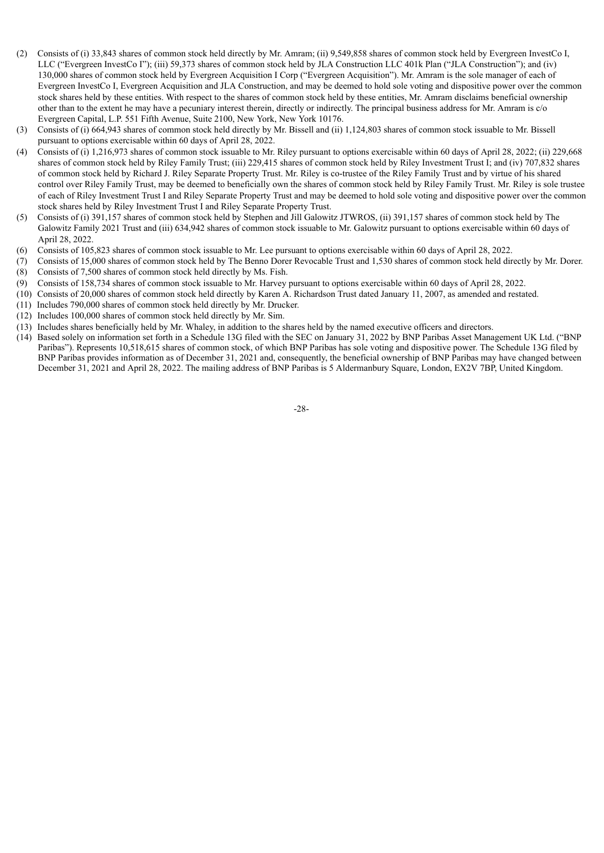- (2) Consists of (i) 33,843 shares of common stock held directly by Mr. Amram; (ii) 9,549,858 shares of common stock held by Evergreen InvestCo I, LLC ("Evergreen InvestCo I"); (iii) 59,373 shares of common stock held by JLA Construction LLC 401k Plan ("JLA Construction"); and (iv) 130,000 shares of common stock held by Evergreen Acquisition I Corp ("Evergreen Acquisition"). Mr. Amram is the sole manager of each of Evergreen InvestCo I, Evergreen Acquisition and JLA Construction, and may be deemed to hold sole voting and dispositive power over the common stock shares held by these entities. With respect to the shares of common stock held by these entities, Mr. Amram disclaims beneficial ownership other than to the extent he may have a pecuniary interest therein, directly or indirectly. The principal business address for Mr. Amram is c/o Evergreen Capital, L.P. 551 Fifth Avenue, Suite 2100, New York, New York 10176.
- (3) Consists of (i) 664,943 shares of common stock held directly by Mr. Bissell and (ii) 1,124,803 shares of common stock issuable to Mr. Bissell pursuant to options exercisable within 60 days of April 28, 2022.
- (4) Consists of (i) 1,216,973 shares of common stock issuable to Mr. Riley pursuant to options exercisable within 60 days of April 28, 2022; (ii) 229,668 shares of common stock held by Riley Family Trust; (iii) 229,415 shares of common stock held by Riley Investment Trust I; and (iv) 707,832 shares of common stock held by Richard J. Riley Separate Property Trust. Mr. Riley is co-trustee of the Riley Family Trust and by virtue of his shared control over Riley Family Trust, may be deemed to beneficially own the shares of common stock held by Riley Family Trust. Mr. Riley is sole trustee of each of Riley Investment Trust I and Riley Separate Property Trust and may be deemed to hold sole voting and dispositive power over the common stock shares held by Riley Investment Trust I and Riley Separate Property Trust.
- (5) Consists of (i) 391,157 shares of common stock held by Stephen and Jill Galowitz JTWROS, (ii) 391,157 shares of common stock held by The Galowitz Family 2021 Trust and (iii) 634,942 shares of common stock issuable to Mr. Galowitz pursuant to options exercisable within 60 days of April 28, 2022.
- (6) Consists of 105,823 shares of common stock issuable to Mr. Lee pursuant to options exercisable within 60 days of April 28, 2022.
- (7) Consists of 15,000 shares of common stock held by The Benno Dorer Revocable Trust and 1,530 shares of common stock held directly by Mr. Dorer. (8) Consists of 7,500 shares of common stock held directly by Ms. Fish.
- (9) Consists of 158,734 shares of common stock issuable to Mr. Harvey pursuant to options exercisable within 60 days of April 28, 2022.
- (10) Consists of 20,000 shares of common stock held directly by Karen A. Richardson Trust dated January 11, 2007, as amended and restated.
- (11) Includes 790,000 shares of common stock held directly by Mr. Drucker.
- (12) Includes 100,000 shares of common stock held directly by Mr. Sim.
- (13) Includes shares beneficially held by Mr. Whaley, in addition to the shares held by the named executive officers and directors.
- <span id="page-30-0"></span>(14) Based solely on information set forth in a Schedule 13G filed with the SEC on January 31, 2022 by BNP Paribas Asset Management UK Ltd. ("BNP Paribas"). Represents 10,518,615 shares of common stock, of which BNP Paribas has sole voting and dispositive power. The Schedule 13G filed by BNP Paribas provides information as of December 31, 2021 and, consequently, the beneficial ownership of BNP Paribas may have changed between December 31, 2021 and April 28, 2022. The mailing address of BNP Paribas is 5 Aldermanbury Square, London, EX2V 7BP, United Kingdom.

-28-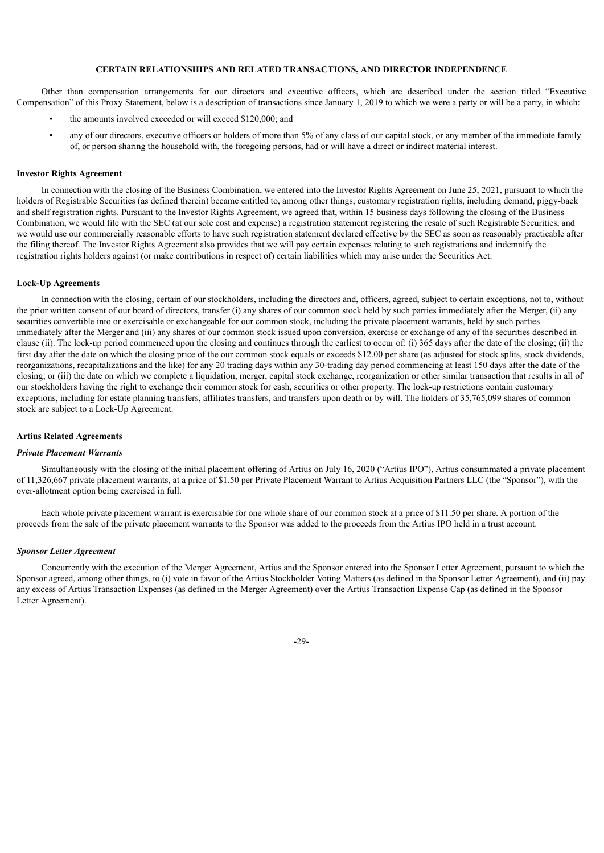# **CERTAIN RELATIONSHIPS AND RELATED TRANSACTIONS, AND DIRECTOR INDEPENDENCE**

Other than compensation arrangements for our directors and executive officers, which are described under the section titled "Executive Compensation" of this Proxy Statement, below is a description of transactions since January 1, 2019 to which we were a party or will be a party, in which:

- the amounts involved exceeded or will exceed \$120,000; and
- any of our directors, executive officers or holders of more than 5% of any class of our capital stock, or any member of the immediate family of, or person sharing the household with, the foregoing persons, had or will have a direct or indirect material interest.

#### **Investor Rights Agreement**

In connection with the closing of the Business Combination, we entered into the Investor Rights Agreement on June 25, 2021, pursuant to which the holders of Registrable Securities (as defined therein) became entitled to, among other things, customary registration rights, including demand, piggy-back and shelf registration rights. Pursuant to the Investor Rights Agreement, we agreed that, within 15 business days following the closing of the Business Combination, we would file with the SEC (at our sole cost and expense) a registration statement registering the resale of such Registrable Securities, and we would use our commercially reasonable efforts to have such registration statement declared effective by the SEC as soon as reasonably practicable after the filing thereof. The Investor Rights Agreement also provides that we will pay certain expenses relating to such registrations and indemnify the registration rights holders against (or make contributions in respect of) certain liabilities which may arise under the Securities Act.

#### **Lock-Up Agreements**

In connection with the closing, certain of our stockholders, including the directors and, officers, agreed, subject to certain exceptions, not to, without the prior written consent of our board of directors, transfer (i) any shares of our common stock held by such parties immediately after the Merger, (ii) any securities convertible into or exercisable or exchangeable for our common stock, including the private placement warrants, held by such parties immediately after the Merger and (iii) any shares of our common stock issued upon conversion, exercise or exchange of any of the securities described in clause (ii). The lock-up period commenced upon the closing and continues through the earliest to occur of: (i) 365 days after the date of the closing; (ii) the first day after the date on which the closing price of the our common stock equals or exceeds \$12.00 per share (as adjusted for stock splits, stock dividends, reorganizations, recapitalizations and the like) for any 20 trading days within any 30-trading day period commencing at least 150 days after the date of the closing; or (iii) the date on which we complete a liquidation, merger, capital stock exchange, reorganization or other similar transaction that results in all of our stockholders having the right to exchange their common stock for cash, securities or other property. The lock-up restrictions contain customary exceptions, including for estate planning transfers, affiliates transfers, and transfers upon death or by will. The holders of 35,765,099 shares of common stock are subject to a Lock-Up Agreement.

# **Artius Related Agreements**

#### *Private Placement Warrants*

Simultaneously with the closing of the initial placement offering of Artius on July 16, 2020 ("Artius IPO"), Artius consummated a private placement of 11,326,667 private placement warrants, at a price of \$1.50 per Private Placement Warrant to Artius Acquisition Partners LLC (the "Sponsor"), with the over-allotment option being exercised in full.

Each whole private placement warrant is exercisable for one whole share of our common stock at a price of \$11.50 per share. A portion of the proceeds from the sale of the private placement warrants to the Sponsor was added to the proceeds from the Artius IPO held in a trust account.

#### *Sponsor Letter Agreement*

Concurrently with the execution of the Merger Agreement, Artius and the Sponsor entered into the Sponsor Letter Agreement, pursuant to which the Sponsor agreed, among other things, to (i) vote in favor of the Artius Stockholder Voting Matters (as defined in the Sponsor Letter Agreement), and (ii) pay any excess of Artius Transaction Expenses (as defined in the Merger Agreement) over the Artius Transaction Expense Cap (as defined in the Sponsor Letter Agreement).

-29-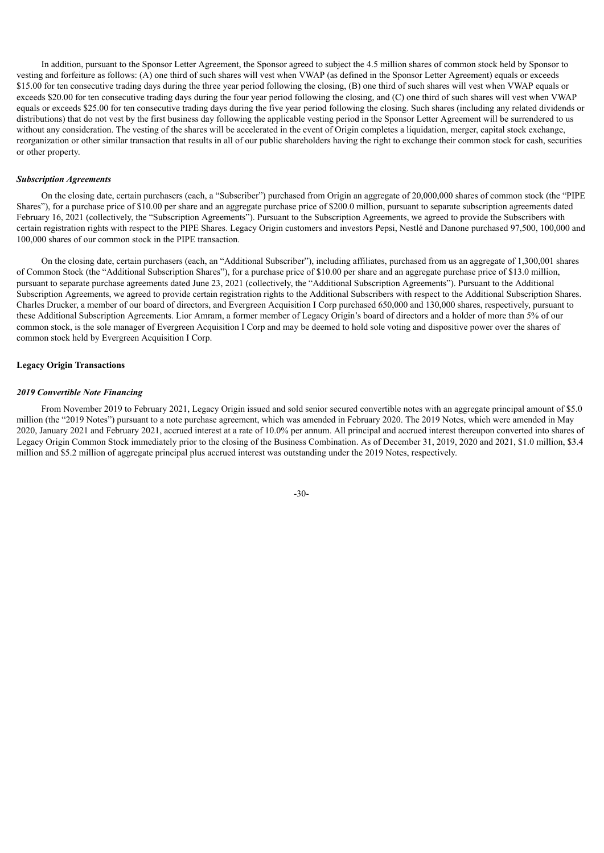In addition, pursuant to the Sponsor Letter Agreement, the Sponsor agreed to subject the 4.5 million shares of common stock held by Sponsor to vesting and forfeiture as follows: (A) one third of such shares will vest when VWAP (as defined in the Sponsor Letter Agreement) equals or exceeds \$15.00 for ten consecutive trading days during the three year period following the closing, (B) one third of such shares will vest when VWAP equals or exceeds \$20.00 for ten consecutive trading days during the four year period following the closing, and (C) one third of such shares will vest when VWAP equals or exceeds \$25.00 for ten consecutive trading days during the five year period following the closing. Such shares (including any related dividends or distributions) that do not vest by the first business day following the applicable vesting period in the Sponsor Letter Agreement will be surrendered to us without any consideration. The vesting of the shares will be accelerated in the event of Origin completes a liquidation, merger, capital stock exchange, reorganization or other similar transaction that results in all of our public shareholders having the right to exchange their common stock for cash, securities or other property.

#### *Subscription Agreements*

On the closing date, certain purchasers (each, a "Subscriber") purchased from Origin an aggregate of 20,000,000 shares of common stock (the "PIPE Shares"), for a purchase price of \$10.00 per share and an aggregate purchase price of \$200.0 million, pursuant to separate subscription agreements dated February 16, 2021 (collectively, the "Subscription Agreements"). Pursuant to the Subscription Agreements, we agreed to provide the Subscribers with certain registration rights with respect to the PIPE Shares. Legacy Origin customers and investors Pepsi, Nestlé and Danone purchased 97,500, 100,000 and 100,000 shares of our common stock in the PIPE transaction.

On the closing date, certain purchasers (each, an "Additional Subscriber"), including affiliates, purchased from us an aggregate of 1,300,001 shares of Common Stock (the "Additional Subscription Shares"), for a purchase price of \$10.00 per share and an aggregate purchase price of \$13.0 million, pursuant to separate purchase agreements dated June 23, 2021 (collectively, the "Additional Subscription Agreements"). Pursuant to the Additional Subscription Agreements, we agreed to provide certain registration rights to the Additional Subscribers with respect to the Additional Subscription Shares. Charles Drucker, a member of our board of directors, and Evergreen Acquisition I Corp purchased 650,000 and 130,000 shares, respectively, pursuant to these Additional Subscription Agreements. Lior Amram, a former member of Legacy Origin's board of directors and a holder of more than 5% of our common stock, is the sole manager of Evergreen Acquisition I Corp and may be deemed to hold sole voting and dispositive power over the shares of common stock held by Evergreen Acquisition I Corp.

#### **Legacy Origin Transactions**

#### *2019 Convertible Note Financing*

From November 2019 to February 2021, Legacy Origin issued and sold senior secured convertible notes with an aggregate principal amount of \$5.0 million (the "2019 Notes") pursuant to a note purchase agreement, which was amended in February 2020. The 2019 Notes, which were amended in May 2020, January 2021 and February 2021, accrued interest at a rate of 10.0% per annum. All principal and accrued interest thereupon converted into shares of Legacy Origin Common Stock immediately prior to the closing of the Business Combination. As of December 31, 2019, 2020 and 2021, \$1.0 million, \$3.4 million and \$5.2 million of aggregate principal plus accrued interest was outstanding under the 2019 Notes, respectively.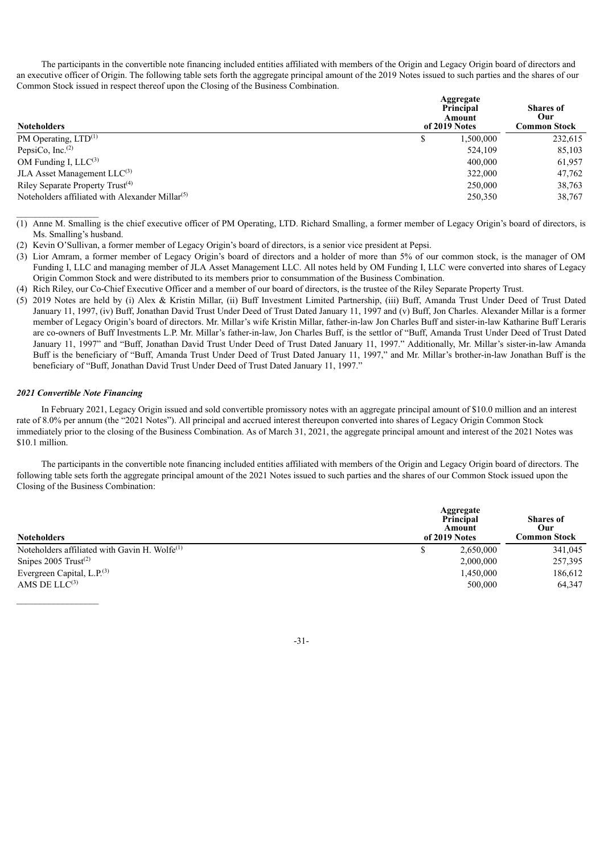The participants in the convertible note financing included entities affiliated with members of the Origin and Legacy Origin board of directors and an executive officer of Origin. The following table sets forth the aggregate principal amount of the 2019 Notes issued to such parties and the shares of our Common Stock issued in respect thereof upon the Closing of the Business Combination.

| <b>Noteholders</b>                                 | Aggregate<br>Principal<br>Amount<br>of 2019 Notes |         |  |
|----------------------------------------------------|---------------------------------------------------|---------|--|
| PM Operating, $LTD^{(1)}$                          | 1,500,000                                         | 232,615 |  |
| PepsiCo, Inc. $(2)$                                | 524,109                                           | 85,103  |  |
| OM Funding I, $LLC^{(3)}$                          | 400,000                                           | 61,957  |  |
| JLA Asset Management $LLC^{(3)}$                   | 322,000                                           | 47,762  |  |
| Riley Separate Property Trust <sup>(4)</sup>       | 250,000                                           | 38,763  |  |
| Noteholders affiliated with Alexander Millar $(5)$ | 250,350                                           | 38,767  |  |

- (1) Anne M. Smalling is the chief executive officer of PM Operating, LTD. Richard Smalling, a former member of Legacy Origin's board of directors, is Ms. Smalling's husband.
- (2) Kevin O'Sullivan, a former member of Legacy Origin's board of directors, is a senior vice president at Pepsi.
- (3) Lior Amram, a former member of Legacy Origin's board of directors and a holder of more than 5% of our common stock, is the manager of OM Funding I, LLC and managing member of JLA Asset Management LLC. All notes held by OM Funding I, LLC were converted into shares of Legacy Origin Common Stock and were distributed to its members prior to consummation of the Business Combination.
- (4) Rich Riley, our Co-Chief Executive Officer and a member of our board of directors, is the trustee of the Riley Separate Property Trust.
- (5) 2019 Notes are held by (i) Alex & Kristin Millar, (ii) Buff Investment Limited Partnership, (iii) Buff, Amanda Trust Under Deed of Trust Dated January 11, 1997, (iv) Buff, Jonathan David Trust Under Deed of Trust Dated January 11, 1997 and (v) Buff, Jon Charles. Alexander Millar is a former member of Legacy Origin's board of directors. Mr. Millar's wife Kristin Millar, father-in-law Jon Charles Buff and sister-in-law Katharine Buff Leraris are co-owners of Buff Investments L.P. Mr. Millar's father-in-law, Jon Charles Buff, is the settlor of "Buff, Amanda Trust Under Deed of Trust Dated January 11, 1997" and "Buff, Jonathan David Trust Under Deed of Trust Dated January 11, 1997." Additionally, Mr. Millar's sister-in-law Amanda Buff is the beneficiary of "Buff, Amanda Trust Under Deed of Trust Dated January 11, 1997," and Mr. Millar's brother-in-law Jonathan Buff is the beneficiary of "Buff, Jonathan David Trust Under Deed of Trust Dated January 11, 1997."

# *2021 Convertible Note Financing*

In February 2021, Legacy Origin issued and sold convertible promissory notes with an aggregate principal amount of \$10.0 million and an interest rate of 8.0% per annum (the "2021 Notes"). All principal and accrued interest thereupon converted into shares of Legacy Origin Common Stock immediately prior to the closing of the Business Combination. As of March 31, 2021, the aggregate principal amount and interest of the 2021 Notes was \$10.1 million.

The participants in the convertible note financing included entities affiliated with members of the Origin and Legacy Origin board of directors. The following table sets forth the aggregate principal amount of the 2021 Notes issued to such parties and the shares of our Common Stock issued upon the Closing of the Business Combination:

| <b>Noteholders</b>                                  | Aggregate<br>Principal<br>Amount<br>of 2019 Notes |           | <b>Shares</b> of<br>Our<br>Common Stock |
|-----------------------------------------------------|---------------------------------------------------|-----------|-----------------------------------------|
| Noteholders affiliated with Gavin H. Wolfe $^{(1)}$ |                                                   | 2,650,000 | 341,045                                 |
| Snipes $2005$ Trust <sup>(2)</sup>                  |                                                   | 2,000,000 | 257,395                                 |
| Evergreen Capital, L.P. $^{(3)}$                    |                                                   | 1,450,000 | 186,612                                 |
| AMS DE $LLC^{(3)}$                                  |                                                   | 500,000   | 64,347                                  |

-31-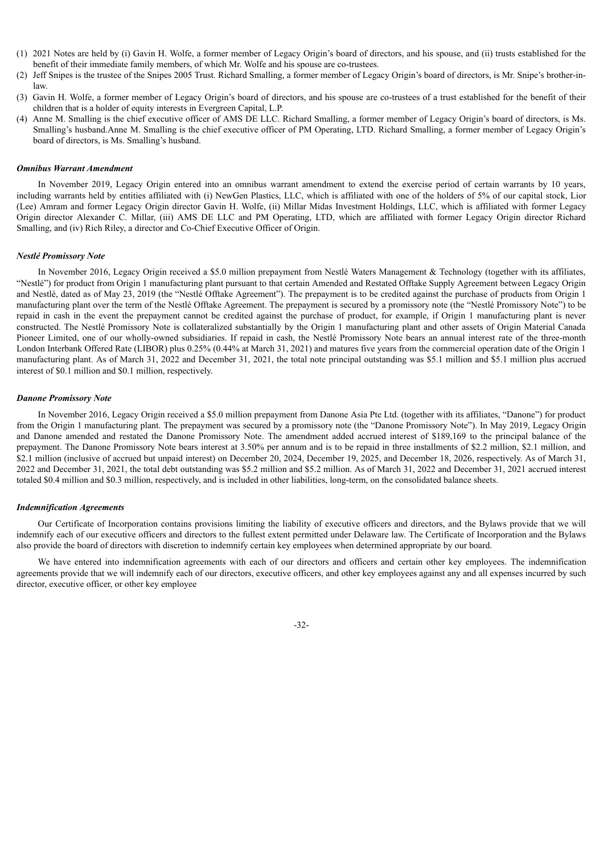- (1) 2021 Notes are held by (i) Gavin H. Wolfe, a former member of Legacy Origin's board of directors, and his spouse, and (ii) trusts established for the benefit of their immediate family members, of which Mr. Wolfe and his spouse are co-trustees.
- (2) Jeff Snipes is the trustee of the Snipes 2005 Trust. Richard Smalling, a former member of Legacy Origin's board of directors, is Mr. Snipe's brother-inlaw.
- (3) Gavin H. Wolfe, a former member of Legacy Origin's board of directors, and his spouse are co-trustees of a trust established for the benefit of their children that is a holder of equity interests in Evergreen Capital, L.P.
- (4) Anne M. Smalling is the chief executive officer of AMS DE LLC. Richard Smalling, a former member of Legacy Origin's board of directors, is Ms. Smalling's husband.Anne M. Smalling is the chief executive officer of PM Operating, LTD. Richard Smalling, a former member of Legacy Origin's board of directors, is Ms. Smalling's husband.

#### *Omnibus Warrant Amendment*

In November 2019, Legacy Origin entered into an omnibus warrant amendment to extend the exercise period of certain warrants by 10 years, including warrants held by entities affiliated with (i) NewGen Plastics, LLC, which is affiliated with one of the holders of 5% of our capital stock, Lior (Lee) Amram and former Legacy Origin director Gavin H. Wolfe, (ii) Millar Midas Investment Holdings, LLC, which is affiliated with former Legacy Origin director Alexander C. Millar, (iii) AMS DE LLC and PM Operating, LTD, which are affiliated with former Legacy Origin director Richard Smalling, and (iv) Rich Riley, a director and Co-Chief Executive Officer of Origin.

#### *Nestlé Promissory Note*

In November 2016, Legacy Origin received a \$5.0 million prepayment from Nestlé Waters Management & Technology (together with its affiliates, "Nestlé") for product from Origin 1 manufacturing plant pursuant to that certain Amended and Restated Offtake Supply Agreement between Legacy Origin and Nestlé, dated as of May 23, 2019 (the "Nestlé Offtake Agreement"). The prepayment is to be credited against the purchase of products from Origin 1 manufacturing plant over the term of the Nestlé Offtake Agreement. The prepayment is secured by a promissory note (the "Nestlé Promissory Note") to be repaid in cash in the event the prepayment cannot be credited against the purchase of product, for example, if Origin 1 manufacturing plant is never constructed. The Nestlé Promissory Note is collateralized substantially by the Origin 1 manufacturing plant and other assets of Origin Material Canada Pioneer Limited, one of our wholly-owned subsidiaries. If repaid in cash, the Nestlé Promissory Note bears an annual interest rate of the three-month London Interbank Offered Rate (LIBOR) plus 0.25% (0.44% at March 31, 2021) and matures five years from the commercial operation date of the Origin 1 manufacturing plant. As of March 31, 2022 and December 31, 2021, the total note principal outstanding was \$5.1 million and \$5.1 million plus accrued interest of \$0.1 million and \$0.1 million, respectively.

#### *Danone Promissory Note*

In November 2016, Legacy Origin received a \$5.0 million prepayment from Danone Asia Pte Ltd. (together with its affiliates, "Danone") for product from the Origin 1 manufacturing plant. The prepayment was secured by a promissory note (the "Danone Promissory Note"). In May 2019, Legacy Origin and Danone amended and restated the Danone Promissory Note. The amendment added accrued interest of \$189,169 to the principal balance of the prepayment. The Danone Promissory Note bears interest at 3.50% per annum and is to be repaid in three installments of \$2.2 million, \$2.1 million, and \$2.1 million (inclusive of accrued but unpaid interest) on December 20, 2024, December 19, 2025, and December 18, 2026, respectively. As of March 31, 2022 and December 31, 2021, the total debt outstanding was \$5.2 million and \$5.2 million. As of March 31, 2022 and December 31, 2021 accrued interest totaled \$0.4 million and \$0.3 million, respectively, and is included in other liabilities, long-term, on the consolidated balance sheets.

#### *Indemnification Agreements*

Our Certificate of Incorporation contains provisions limiting the liability of executive officers and directors, and the Bylaws provide that we will indemnify each of our executive officers and directors to the fullest extent permitted under Delaware law. The Certificate of Incorporation and the Bylaws also provide the board of directors with discretion to indemnify certain key employees when determined appropriate by our board.

We have entered into indemnification agreements with each of our directors and officers and certain other key employees. The indemnification agreements provide that we will indemnify each of our directors, executive officers, and other key employees against any and all expenses incurred by such director, executive officer, or other key employee

-32-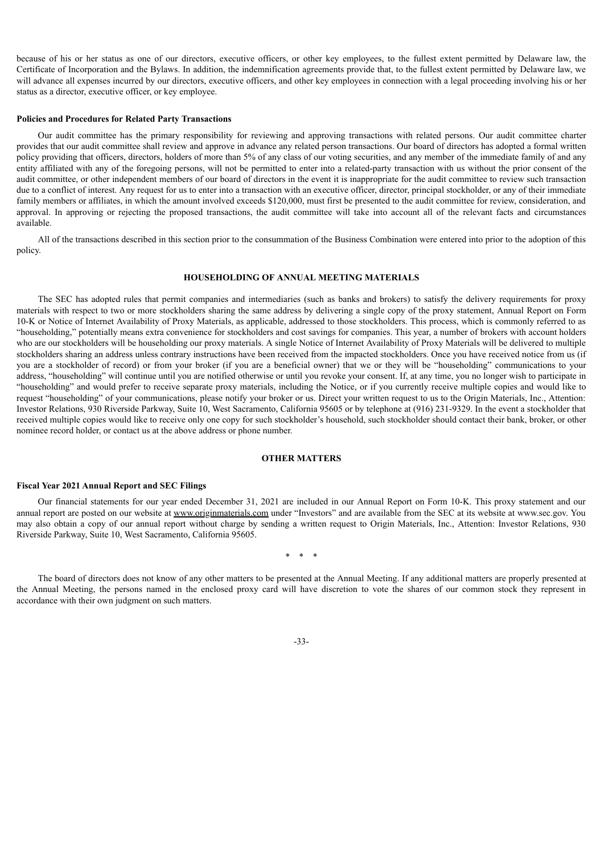because of his or her status as one of our directors, executive officers, or other key employees, to the fullest extent permitted by Delaware law, the Certificate of Incorporation and the Bylaws. In addition, the indemnification agreements provide that, to the fullest extent permitted by Delaware law, we will advance all expenses incurred by our directors, executive officers, and other key employees in connection with a legal proceeding involving his or her status as a director, executive officer, or key employee.

#### <span id="page-35-0"></span>**Policies and Procedures for Related Party Transactions**

Our audit committee has the primary responsibility for reviewing and approving transactions with related persons. Our audit committee charter provides that our audit committee shall review and approve in advance any related person transactions. Our board of directors has adopted a formal written policy providing that officers, directors, holders of more than 5% of any class of our voting securities, and any member of the immediate family of and any entity affiliated with any of the foregoing persons, will not be permitted to enter into a related-party transaction with us without the prior consent of the audit committee, or other independent members of our board of directors in the event it is inappropriate for the audit committee to review such transaction due to a conflict of interest. Any request for us to enter into a transaction with an executive officer, director, principal stockholder, or any of their immediate family members or affiliates, in which the amount involved exceeds \$120,000, must first be presented to the audit committee for review, consideration, and approval. In approving or rejecting the proposed transactions, the audit committee will take into account all of the relevant facts and circumstances available.

<span id="page-35-1"></span>All of the transactions described in this section prior to the consummation of the Business Combination were entered into prior to the adoption of this policy.

#### **HOUSEHOLDING OF ANNUAL MEETING MATERIALS**

The SEC has adopted rules that permit companies and intermediaries (such as banks and brokers) to satisfy the delivery requirements for proxy materials with respect to two or more stockholders sharing the same address by delivering a single copy of the proxy statement, Annual Report on Form 10-K or Notice of Internet Availability of Proxy Materials, as applicable, addressed to those stockholders. This process, which is commonly referred to as "householding," potentially means extra convenience for stockholders and cost savings for companies. This year, a number of brokers with account holders who are our stockholders will be householding our proxy materials. A single Notice of Internet Availability of Proxy Materials will be delivered to multiple stockholders sharing an address unless contrary instructions have been received from the impacted stockholders. Once you have received notice from us (if you are a stockholder of record) or from your broker (if you are a beneficial owner) that we or they will be "householding" communications to your address, "householding" will continue until you are notified otherwise or until you revoke your consent. If, at any time, you no longer wish to participate in "householding" and would prefer to receive separate proxy materials, including the Notice, or if you currently receive multiple copies and would like to request "householding" of your communications, please notify your broker or us. Direct your written request to us to the Origin Materials, Inc., Attention: Investor Relations, 930 Riverside Parkway, Suite 10, West Sacramento, California 95605 or by telephone at (916) 231-9329. In the event a stockholder that received multiple copies would like to receive only one copy for such stockholder's household, such stockholder should contact their bank, broker, or other nominee record holder, or contact us at the above address or phone number.

#### **OTHER MATTERS**

#### <span id="page-35-3"></span><span id="page-35-2"></span>**Fiscal Year 2021 Annual Report and SEC Filings**

Our financial statements for our year ended December 31, 2021 are included in our Annual Report on Form 10-K. This proxy statement and our annual report are posted on our website at www.originmaterials.com under "Investors" and are available from the SEC at its website at www.sec.gov. You may also obtain a copy of our annual report without charge by sending a written request to Origin Materials, Inc., Attention: Investor Relations, 930 Riverside Parkway, Suite 10, West Sacramento, California 95605.

\* \* \*

The board of directors does not know of any other matters to be presented at the Annual Meeting. If any additional matters are properly presented at the Annual Meeting, the persons named in the enclosed proxy card will have discretion to vote the shares of our common stock they represent in accordance with their own judgment on such matters.